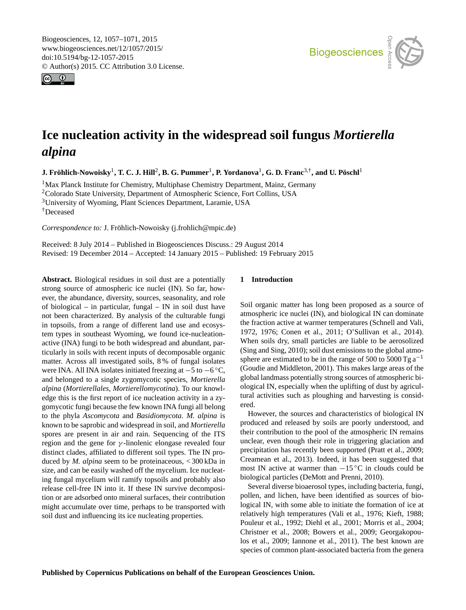<span id="page-0-1"></span>Biogeosciences, 12, 1057–1071, 2015 www.biogeosciences.net/12/1057/2015/ doi:10.5194/bg-12-1057-2015 © Author(s) 2015. CC Attribution 3.0 License.





# **Ice nucleation activity in the widespread soil fungus** *Mortierella alpina*

 ${\bf J.}$  Fröhlich-Nowoisky<sup>[1](#page-0-0)</sup>, T. C. J. Hill<sup>[2](#page-0-0)</sup>, B. G. Pummer<sup>1</sup>, P. Yordanova<sup>1</sup>, G. D. Franc<sup>[3,†](#page-0-0)</sup>, and U. Pöschl<sup>1</sup>

<sup>1</sup>Max Planck Institute for Chemistry, Multiphase Chemistry Department, Mainz, Germany <sup>2</sup>Colorado State University, Department of Atmospheric Science, Fort Collins, USA <sup>3</sup>University of Wyoming, Plant Sciences Department, Laramie, USA †Deceased

*Correspondence to:* J. Fröhlich-Nowoisky (j.frohlich@mpic.de)

Received: 8 July 2014 – Published in Biogeosciences Discuss.: 29 August 2014 Revised: 19 December 2014 – Accepted: 14 January 2015 – Published: 19 February 2015

<span id="page-0-0"></span>**Abstract.** Biological residues in soil dust are a potentially strong source of atmospheric ice nuclei (IN). So far, however, the abundance, diversity, sources, seasonality, and role of biological – in particular, fungal – IN in soil dust have not been characterized. By analysis of the culturable fungi in topsoils, from a range of different land use and ecosystem types in southeast Wyoming, we found ice-nucleationactive (INA) fungi to be both widespread and abundant, particularly in soils with recent inputs of decomposable organic matter. Across all investigated soils, 8 % of fungal isolates were INA. All INA isolates initiated freezing at −5 to −6 ◦C, and belonged to a single zygomycotic species, *Mortierella alpina* (*Mortierellales, Mortierellomycotina*). To our knowledge this is the first report of ice nucleation activity in a zygomycotic fungi because the few known INA fungi all belong to the phyla *Ascomycota* and *Basidiomycota*. *M. alpina* is known to be saprobic and widespread in soil, and *Mortierella* spores are present in air and rain. Sequencing of the ITS region and the gene for  $\gamma$ -linolenic elongase revealed four distinct clades, affiliated to different soil types. The IN produced by *M. alpina* seem to be proteinaceous, < 300 kDa in size, and can be easily washed off the mycelium. Ice nucleating fungal mycelium will ramify topsoils and probably also release cell-free IN into it. If these IN survive decomposition or are adsorbed onto mineral surfaces, their contribution might accumulate over time, perhaps to be transported with soil dust and influencing its ice nucleating properties.

## **1 Introduction**

Soil organic matter has long been proposed as a source of atmospheric ice nuclei (IN), and biological IN can dominate the fraction active at warmer temperatures (Schnell and Vali, 1972, 1976; Conen et al., 2011; O'Sullivan et al., 2014). When soils dry, small particles are liable to be aerosolized (Sing and Sing, 2010); soil dust emissions to the global atmosphere are estimated to be in the range of 500 to 5000 Tg  $a^{-1}$ (Goudie and Middleton, 2001). This makes large areas of the global landmass potentially strong sources of atmospheric biological IN, especially when the uplifting of dust by agricultural activities such as ploughing and harvesting is considered.

However, the sources and characteristics of biological IN produced and released by soils are poorly understood, and their contribution to the pool of the atmospheric IN remains unclear, even though their role in triggering glaciation and precipitation has recently been supported (Pratt et al., 2009; Creamean et al., 2013). Indeed, it has been suggested that most IN active at warmer than  $-15\degree C$  in clouds could be biological particles (DeMott and Prenni, 2010).

Several diverse bioaerosol types, including bacteria, fungi, pollen, and lichen, have been identified as sources of biological IN, with some able to initiate the formation of ice at relatively high temperatures (Vali et al., 1976; Kieft, 1988; Pouleur et al., 1992; Diehl et al., 2001; Morris et al., 2004; Christner et al., 2008; Bowers et al., 2009; Georgakopoulos et al., 2009; Iannone et al., 2011). The best known are species of common plant-associated bacteria from the genera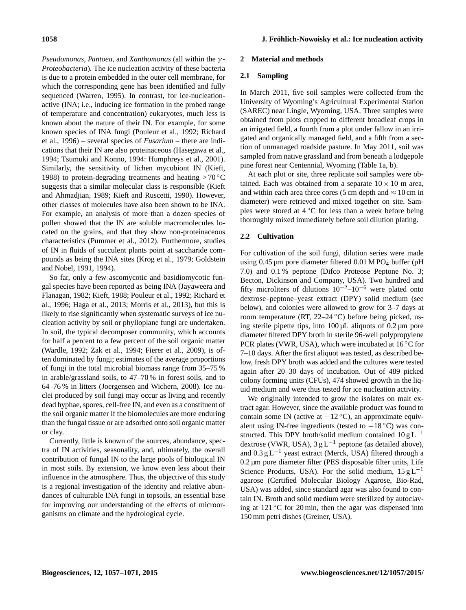*Pseudomonas*, *Pantoea*, and *Xanthomonas* (all within the γ - *Proteobacteria*). The ice nucleation activity of these bacteria is due to a protein embedded in the outer cell membrane, for which the corresponding gene has been identified and fully sequenced (Warren, 1995). In contrast, for ice-nucleationactive (INA; i.e., inducing ice formation in the probed range of temperature and concentration) eukaryotes, much less is known about the nature of their IN. For example, for some known species of INA fungi (Pouleur et al., 1992; Richard et al., 1996) – several species of *Fusarium* – there are indications that their IN are also proteinaceous (Hasegawa et al., 1994; Tsumuki and Konno, 1994: Humphreys et al., 2001). Similarly, the sensitivity of lichen mycobiont IN (Kieft, 1988) to protein-degrading treatments and heating  $>70^{\circ}$ C suggests that a similar molecular class is responsible (Kieft and Ahmadjian, 1989; Kieft and Ruscetti, 1990). However, other classes of molecules have also been shown to be INA. For example, an analysis of more than a dozen species of pollen showed that the IN are soluble macromolecules located on the grains, and that they show non-proteinaceous characteristics (Pummer et al., 2012). Furthermore, studies of IN in fluids of succulent plants point at saccharide compounds as being the INA sites (Krog et al., 1979; Goldstein and Nobel, 1991, 1994).

So far, only a few ascomycotic and basidiomycotic fungal species have been reported as being INA (Jayaweera and Flanagan, 1982; Kieft, 1988; Pouleur et al., 1992; Richard et al., 1996; Haga et al., 2013; Morris et al., 2013), but this is likely to rise significantly when systematic surveys of ice nucleation activity by soil or phylloplane fungi are undertaken. In soil, the typical decomposer community, which accounts for half a percent to a few percent of the soil organic matter (Wardle, 1992; Zak et al., 1994; Fierer et al., 2009), is often dominated by fungi; estimates of the average proportions of fungi in the total microbial biomass range from 35–75 % in arable/grassland soils, to 47–70 % in forest soils, and to 64–76 % in litters (Joergensen and Wichern, 2008). Ice nuclei produced by soil fungi may occur as living and recently dead hyphae, spores, cell-free IN, and even as a constituent of the soil organic matter if the biomolecules are more enduring than the fungal tissue or are adsorbed onto soil organic matter or clay.

Currently, little is known of the sources, abundance, spectra of IN activities, seasonality, and, ultimately, the overall contribution of fungal IN to the large pools of biological IN in most soils. By extension, we know even less about their influence in the atmosphere. Thus, the objective of this study is a regional investigation of the identity and relative abundances of culturable INA fungi in topsoils, an essential base for improving our understanding of the effects of microorganisms on climate and the hydrological cycle.

## **2 Material and methods**

## **2.1 Sampling**

In March 2011, five soil samples were collected from the University of Wyoming's Agricultural Experimental Station (SAREC) near Lingle, Wyoming, USA. Three samples were obtained from plots cropped to different broadleaf crops in an irrigated field, a fourth from a plot under fallow in an irrigated and organically managed field, and a fifth from a section of unmanaged roadside pasture. In May 2011, soil was sampled from native grassland and from beneath a lodgepole pine forest near Centennial, Wyoming (Table 1a, b).

At each plot or site, three replicate soil samples were obtained. Each was obtained from a separate  $10 \times 10$  m area, and within each area three cores (5 cm depth and  $\approx 10$  cm in diameter) were retrieved and mixed together on site. Samples were stored at  $4^{\circ}$ C for less than a week before being thoroughly mixed immediately before soil dilution plating.

## **2.2 Cultivation**

For cultivation of the soil fungi, dilution series were made using  $0.45 \mu m$  pore diameter filtered  $0.01 \text{ M}$  PO<sub>4</sub> buffer (pH) 7.0) and 0.1 % peptone (Difco Proteose Peptone No. 3; Becton, Dickinson and Company, USA). Two hundred and fifty microliters of dilutions  $10^{-2}$ – $10^{-6}$  were plated onto dextrose–peptone–yeast extract (DPY) solid medium (see below), and colonies were allowed to grow for 3–7 days at room temperature (RT, 22–24 ◦C) before being picked, using sterile pipette tips, into  $100 \mu L$  aliquots of  $0.2 \mu m$  pore diameter filtered DPY broth in sterile 96-well polypropylene PCR plates (VWR, USA), which were incubated at  $16^{\circ}$ C for 7–10 days. After the first aliquot was tested, as described below, fresh DPY broth was added and the cultures were tested again after 20–30 days of incubation. Out of 489 picked colony forming units (CFUs), 474 showed growth in the liquid medium and were thus tested for ice nucleation activity.

We originally intended to grow the isolates on malt extract agar. However, since the available product was found to contain some IN (active at  $-12 \degree C$ ), an approximate equivalent using IN-free ingredients (tested to  $-18\degree C$ ) was constructed. This DPY broth/solid medium contained  $10 g L^{-1}$ dextrose (VWR, USA),  $3 \text{ g L}^{-1}$  peptone (as detailed above), and  $0.3 \text{ g L}^{-1}$  yeast extract (Merck, USA) filtered through a 0.2 µm pore diameter filter (PES disposable filter units, Life Science Products, USA). For the solid medium,  $15 \text{ g L}^{-1}$ agarose (Certified Molecular Biology Agarose, Bio-Rad, USA) was added, since standard agar was also found to contain IN. Broth and solid medium were sterilized by autoclaving at  $121\degree$ C for 20 min, then the agar was dispensed into 150 mm petri dishes (Greiner, USA).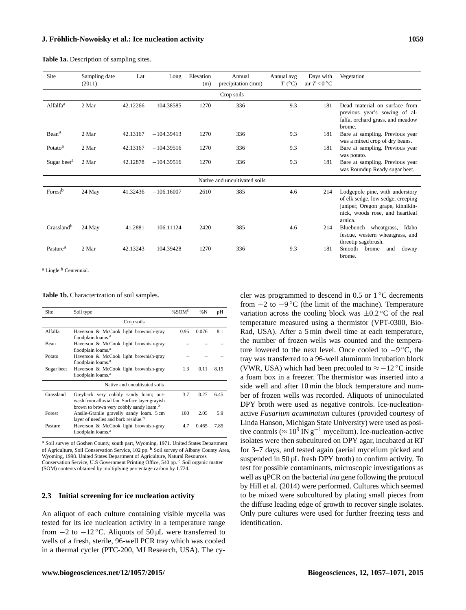| Site                    | Sampling date<br>(2011) | Lat      | Long         | Elevation<br>(m) | Annual<br>precipitation (mm)  | Annual avg<br>$T$ (°C) | Days with<br>air $T < 0$ °C | Vegetation                                                                                                                                             |
|-------------------------|-------------------------|----------|--------------|------------------|-------------------------------|------------------------|-----------------------------|--------------------------------------------------------------------------------------------------------------------------------------------------------|
|                         |                         |          |              |                  | Crop soils                    |                        |                             |                                                                                                                                                        |
| Alfalfa <sup>a</sup>    | 2 Mar                   | 42.12266 | $-104.38585$ | 1270             | 336                           | 9.3                    | 181                         | Dead material on surface from<br>previous year's sowing of al-<br>falfa, orchard grass, and meadow<br>brome.                                           |
| Bean <sup>a</sup>       | 2 Mar                   | 42.13167 | $-104.39413$ | 1270             | 336                           | 9.3                    | 181                         | Bare at sampling. Previous year<br>was a mixed crop of dry beans.                                                                                      |
| Potato <sup>a</sup>     | 2 Mar                   | 42.13167 | $-104.39516$ | 1270             | 336                           | 9.3                    | 181                         | Bare at sampling. Previous year<br>was potato.                                                                                                         |
| Sugar beet <sup>a</sup> | 2 Mar                   | 42.12878 | $-104.39516$ | 1270             | 336                           | 9.3                    | 181                         | Bare at sampling. Previous year<br>was Roundup Ready sugar beet.                                                                                       |
|                         |                         |          |              |                  | Native and uncultivated soils |                        |                             |                                                                                                                                                        |
| Forest <sup>b</sup>     | 24 May                  | 41.32436 | $-106.16007$ | 2610             | 385                           | 4.6                    | 214                         | Lodgepole pine, with understory<br>of elk sedge, low sedge, creeping<br>juniper, Oregon grape, kinnikin-<br>nick, woods rose, and heartleaf<br>arnica. |
| Grassland <sup>b</sup>  | 24 May                  | 41.2881  | $-106.11124$ | 2420             | 385                           | 4.6                    | 214                         | Bluebunch wheatgrass,<br>Idaho<br>fescue, western wheatgrass, and<br>threetip sagebrush.                                                               |
| Pasture <sup>a</sup>    | 2 Mar                   | 42.13243 | $-104.39428$ | 1270             | 336                           | 9.3                    | 181                         | Smooth<br>brome<br>and<br>downy<br>brome.                                                                                                              |

**Table 1a.** Description of sampling sites.

<sup>a</sup> Lingle<sup>b</sup> Centennial.

#### **Table 1b.** Characterization of soil samples.

| Site       | Soil type                                                                                                                                     | % $SOMc$ | %N    | pH   |
|------------|-----------------------------------------------------------------------------------------------------------------------------------------------|----------|-------|------|
|            | Crop soils                                                                                                                                    |          |       |      |
| Alfalfa    | Haverson & McCook light brownish-gray                                                                                                         | 0.95     | 0.076 | 8.1  |
| Bean       | floodplain loams. <sup>a</sup><br>Haverson & McCook light brownish-gray<br>floodplain loams. <sup>a</sup>                                     |          |       |      |
| Potato     | Haverson & McCook light brownish-gray<br>floodplain loams. <sup>a</sup>                                                                       |          |       |      |
| Sugar beet | Haverson & McCook light brownish-gray<br>floodplain loams. <sup>a</sup>                                                                       | 1.3      | 0.11  | 8.15 |
|            | Native and uncultivated soils                                                                                                                 |          |       |      |
| Grassland  | Greyback very cobbly sandy loam; out-<br>wash from alluvial fan. Surface layer grayish<br>brown to brown very cobbly sandy loam. <sup>b</sup> | 3.7      | 0.27  | 6.45 |
| Forest     | Ansile-Granile gravelly sandy loam. 5 cm<br>layer of needles and bark residue. <sup>b</sup>                                                   | 100      | 2.05  | 5.9  |
| Pasture    | Haverson & McCook light brownish-gray<br>floodplain loams. <sup>a</sup>                                                                       | 4.7      | 0.465 | 7.85 |

<sup>a</sup> Soil survey of Goshen County, south part, Wyoming, 1971. United States Department of Agriculture, Soil Conservation Service, 102 pp. <sup>b</sup> Soil survey of Albany County Area, Wyoming, 1998. United States Department of Agriculture, Natural Resources Conservation Service, U.S Government Printing Office, 540 pp. <sup>c</sup> Soil organic matter (SOM) contents obtained by multiplying percentage carbon by 1.724.

## **2.3 Initial screening for ice nucleation activity**

An aliquot of each culture containing visible mycelia was tested for its ice nucleation activity in a temperature range from  $-2$  to  $-12$  °C. Aliquots of 50 µL were transferred to wells of a fresh, sterile, 96-well PCR tray which was cooled in a thermal cycler (PTC-200, MJ Research, USA). The cycler was programmed to descend in  $0.5$  or  $1\,^{\circ}\text{C}$  decrements from −2 to −9 ◦C (the limit of the machine). Temperature variation across the cooling block was  $\pm 0.2$  °C of the real temperature measured using a thermistor (VPT-0300, Bio-Rad, USA). After a 5 min dwell time at each temperature, the number of frozen wells was counted and the temperature lowered to the next level. Once cooled to  $-9^{\circ}C$ , the tray was transferred to a 96-well aluminum incubation block (VWR, USA) which had been precooled to  $\approx -12$  °C inside a foam box in a freezer. The thermistor was inserted into a side well and after 10 min the block temperature and number of frozen wells was recorded. Aliquots of uninoculated DPY broth were used as negative controls. Ice-nucleationactive *Fusarium acuminatum* cultures (provided courtesy of Linda Hanson, Michigan State University) were used as positive controls ( $\approx 10^9 \text{ IN } \text{g}^{-1}$  mycelium). Ice-nucleation-active isolates were then subcultured on DPY agar, incubated at RT for 3–7 days, and tested again (aerial mycelium picked and suspended in 50 µL fresh DPY broth) to confirm activity. To test for possible contaminants, microscopic investigations as well as qPCR on the bacterial *ina* gene following the protocol by Hill et al. (2014) were performed. Cultures which seemed to be mixed were subcultured by plating small pieces from the diffuse leading edge of growth to recover single isolates. Only pure cultures were used for further freezing tests and identification.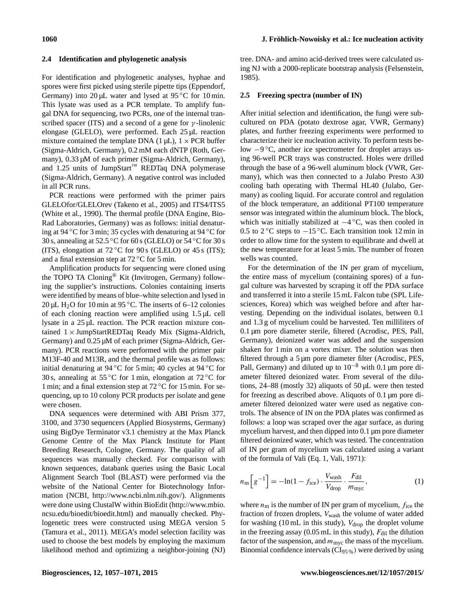## **2.4 Identification and phylogenetic analysis**

For identification and phylogenetic analyses, hyphae and spores were first picked using sterile pipette tips (Eppendorf, Germany) into  $20 \mu L$  water and lysed at 95 °C for 10 min. This lysate was used as a PCR template. To amplify fungal DNA for sequencing, two PCRs, one of the internal transcribed spacer (ITS) and a second of a gene for  $\gamma$ -linolenic elongase (GLELO), were performed. Each 25 µL reaction mixture contained the template DNA (1  $\mu$ L), 1 × PCR buffer (Sigma-Aldrich, Germany), 0.2 mM each dNTP (Roth, Germany),  $0.33 \mu M$  of each primer (Sigma-Aldrich, Germany), and 1.25 units of JumpStart™ REDTaq DNA polymerase (Sigma-Aldrich, Germany). A negative control was included in all PCR runs.

PCR reactions were performed with the primer pairs GLELOfor/GLELOrev (Takeno et al., 2005) and ITS4/ITS5 (White et al., 1990). The thermal profile (DNA Engine, Bio-Rad Laboratories, Germany) was as follows: initial denaturing at 94 ◦C for 3 min; 35 cycles with denaturing at 94 ◦C for 30 s, annealing at 52.5 °C for 60 s (GLELO) or 54 °C for 30 s (ITS), elongation at  $72 \degree$ C for  $90 \degree$  (GLELO) or 45  $\degree$  (ITS); and a final extension step at 72 ◦C for 5 min.

Amplification products for sequencing were cloned using the TOPO TA Cloning® Kit (Invitrogen, Germany) following the supplier's instructions. Colonies containing inserts were identified by means of blue–white selection and lysed in 20 µL H<sub>2</sub>O for 10 min at 95 °C. The inserts of 6–12 colonies of each cloning reaction were amplified using 1.5 µL cell lysate in a 25 µL reaction. The PCR reaction mixture contained  $1 \times$  JumpStartREDTaq Ready Mix (Sigma-Aldrich, Germany) and 0.25 µM of each primer (Sigma-Aldrich, Germany). PCR reactions were performed with the primer pair M13F-40 and M13R, and the thermal profile was as follows: initial denaturing at 94  $\degree$ C for 5 min; 40 cycles at 94  $\degree$ C for 30 s, annealing at 55 °C for 1 min, elongation at 72 °C for 1 min; and a final extension step at 72 ◦C for 15 min. For sequencing, up to 10 colony PCR products per isolate and gene were chosen.

DNA sequences were determined with ABI Prism 377, 3100, and 3730 sequencers (Applied Biosystems, Germany) using BigDye Terminator v3.1 chemistry at the Max Planck Genome Centre of the Max Planck Institute for Plant Breeding Research, Cologne, Germany. The quality of all sequences was manually checked. For comparison with known sequences, databank queries using the Basic Local Alignment Search Tool (BLAST) were performed via the website of the National Center for Biotechnology Information (NCBI, [http://www.ncbi.nlm.nih.gov/\)](http://www.ncbi.nlm.nih.gov/). Alignments were done using ClustalW within BioEdit [\(http://www.mbio.](http://www.mbio.ncsu.edu/bioedit/bioedit.html) [ncsu.edu/bioedit/bioedit.html\)](http://www.mbio.ncsu.edu/bioedit/bioedit.html) and manually checked. Phylogenetic trees were constructed using MEGA version 5 (Tamura et al., 2011). MEGA's model selection facility was used to choose the best models by employing the maximum likelihood method and optimizing a neighbor-joining (NJ) tree. DNA- and amino acid-derived trees were calculated using NJ with a 2000-replicate bootstrap analysis (Felsenstein, 1985).

## **2.5 Freezing spectra (number of IN)**

After initial selection and identification, the fungi were subcultured on PDA (potato dextrose agar, VWR, Germany) plates, and further freezing experiments were performed to characterize their ice nucleation activity. To perform tests below −9 ◦C, another ice spectrometer for droplet arrays using 96-well PCR trays was constructed. Holes were drilled through the base of a 96-well aluminum block (VWR, Germany), which was then connected to a Julabo Presto A30 cooling bath operating with Thermal HL40 (Julabo, Germany) as cooling liquid. For accurate control and regulation of the block temperature, an additional PT100 temperature sensor was integrated within the aluminum block. The block, which was initially stabilized at  $-4$ °C, was then cooled in 0.5 to  $2^{\circ}$ C steps to  $-15^{\circ}$ C. Each transition took 12 min in order to allow time for the system to equilibrate and dwell at the new temperature for at least 5 min. The number of frozen wells was counted.

For the determination of the IN per gram of mycelium, the entire mass of mycelium (containing spores) of a fungal culture was harvested by scraping it off the PDA surface and transferred it into a sterile 15 mL Falcon tube (SPL Lifesciences, Korea) which was weighed before and after harvesting. Depending on the individual isolates, between 0.1 and 1.3 g of mycelium could be harvested. Ten milliliters of 0.1 µm pore diameter sterile, filtered (Acrodisc, PES, Pall, Germany), deionized water was added and the suspension shaken for 1 min on a vortex mixer. The solution was then filtered through a 5 µm pore diameter filter (Acrodisc, PES, Pall, Germany) and diluted up to  $10^{-8}$  with 0.1 µm pore diameter filtered deionized water. From several of the dilutions, 24–88 (mostly 32) aliquots of 50 µL were then tested for freezing as described above. Aliquots of 0.1 µm pore diameter filtered deionized water were used as negative controls. The absence of IN on the PDA plates was confirmed as follows: a loop was scraped over the agar surface, as during mycelium harvest, and then dipped into 0.1 µm pore diameter filtered deionized water, which was tested. The concentration of IN per gram of mycelium was calculated using a variant of the formula of Vali (Eq. 1, Vali, 1971):

$$
n_{\rm m} \left[ g^{-1} \right] = -\ln(1 - f_{\rm ice}) \cdot \frac{V_{\rm wash}}{V_{\rm drop}} \cdot \frac{F_{\rm dil}}{m_{\rm myc}},\tag{1}
$$

where  $n<sub>m</sub>$  is the number of IN per gram of mycelium,  $f<sub>ice</sub>$  the fraction of frozen droplets, V<sub>wash</sub> the volume of water added for washing (10 mL in this study),  $V_{drop}$  the droplet volume in the freezing assay (0.05 mL in this study),  $F_{\text{dil}}$  the dilution factor of the suspension, and  $m_{\text{mvc}}$  the mass of the mycelium. Binomial confidence intervals  $(CI_{95\%})$  were derived by using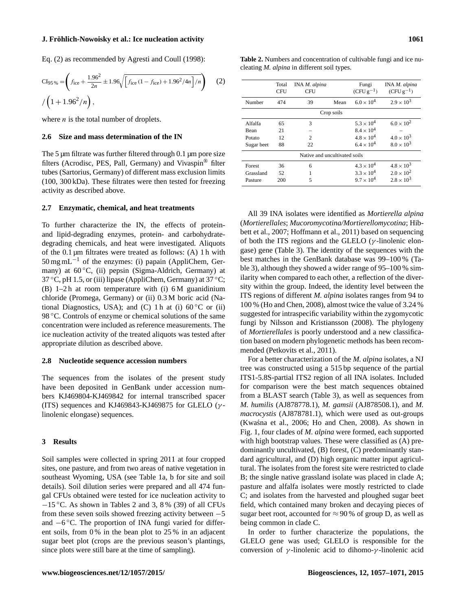Eq. (2) as recommended by Agresti and Coull (1998):

$$
\text{CI}_{95\%} = \left(f_{\text{ice}} + \frac{1.96^2}{2n} \pm 1.96\sqrt{\left[f_{\text{ice}}\left(1 - f_{\text{ice}}\right) + 1.96^2/4n\right]/n}\right) \quad (2)
$$

$$
/ \left(1 + 1.96^2/n\right),
$$

where  $n$  is the total number of droplets.

#### **2.6 Size and mass determination of the IN**

The 5  $\mu$ m filtrate was further filtered through 0.1  $\mu$ m pore size filters (Acrodisc, PES, Pall, Germany) and Vivaspin® filter tubes (Sartorius, Germany) of different mass exclusion limits (100, 300 kDa). These filtrates were then tested for freezing activity as described above.

#### **2.7 Enzymatic, chemical, and heat treatments**

To further characterize the IN, the effects of proteinand lipid-degrading enzymes, protein- and carbohydratedegrading chemicals, and heat were investigated. Aliquots of the  $0.1 \mu m$  filtrates were treated as follows: (A) 1 h with  $50 \,\mathrm{mg}\,\mathrm{mL}^{-1}$  of the enzymes: (i) papain (AppliChem, Germany) at 60 ◦C, (ii) pepsin (Sigma-Aldrich, Germany) at 37 °C, pH 1.5, or (iii) lipase (AppliChem, Germany) at  $37$  °C; (B)  $1-2h$  at room temperature with (i) 6 M guanidinium chloride (Promega, Germany) or (ii) 0.3 M boric acid (National Diagnostics, USA); and (C) 1 h at (i)  $60^{\circ}$ C or (ii) 98 °C. Controls of enzyme or chemical solutions of the same concentration were included as reference measurements. The ice nucleation activity of the treated aliquots was tested after appropriate dilution as described above.

#### **2.8 Nucleotide sequence accession numbers**

The sequences from the isolates of the present study have been deposited in GenBank under accession numbers KJ469804-KJ469842 for internal transcribed spacer (ITS) sequences and KJ469843-KJ469875 for GLELO ( $\gamma$ linolenic elongase) sequences.

#### **3 Results**

Soil samples were collected in spring 2011 at four cropped sites, one pasture, and from two areas of native vegetation in southeast Wyoming, USA (see Table 1a, b for site and soil details). Soil dilution series were prepared and all 474 fungal CFUs obtained were tested for ice nucleation activity to  $-15$  °C. As shown in Tables 2 and 3, 8 % (39) of all CFUs from these seven soils showed freezing activity between −5 and −6 ◦C. The proportion of INA fungi varied for different soils, from 0 % in the bean plot to 25 % in an adjacent sugar beet plot (crops are the previous season's plantings, since plots were still bare at the time of sampling).

|            | Total<br><b>CFU</b> | INA M. alpina<br><b>CFU</b>   |            | Fungi<br>$(CFU g^{-1})$ | INA M. alpina<br>$(CFU g^{-1})$ |
|------------|---------------------|-------------------------------|------------|-------------------------|---------------------------------|
| Number     | 474                 | 39                            | Mean       | $6.0 \times 10^{4}$     | $2.9 \times 10^{3}$             |
|            |                     |                               | Crop soils |                         |                                 |
| Alfalfa    | 65                  | 3                             |            | $5.3 \times 10^{4}$     | $6.0 \times 10^{2}$             |
| Bean       | 21                  |                               |            | $8.4 \times 10^{4}$     |                                 |
| Potato     | 12                  | $\overline{c}$                |            | $4.8 \times 10^{4}$     | $4.0 \times 10^{3}$             |
| Sugar beet | 88                  | 22                            |            | $6.4 \times 10^{4}$     | $8.0 \times 10^{3}$             |
|            |                     | Native and uncultivated soils |            |                         |                                 |
| Forest     | 36                  | 6                             |            | $4.3 \times 10^{4}$     | $4.8 \times 10^{3}$             |
| Grassland  | 52                  |                               |            | $3.3 \times 10^{4}$     | $2.0 \times 10^{2}$             |
| Pasture    | 200                 | 5                             |            | $9.7 \times 10^{4}$     | $2.8 \times 10^{3}$             |

Pasture 200 5 9.7  $\times$  10<sup>4</sup>

**Table 2.** Numbers and concentration of cultivable fungi and ice nu-

cleating *M. alpina* in different soil types.

All 39 INA isolates were identified as *Mortierella alpina* (*Mortierellales*; *Mucoromycotina/Mortierellomycotina*; Hibbett et al., 2007; Hoffmann et al., 2011) based on sequencing of both the ITS regions and the GLELO ( $\gamma$ -linolenic elongase) gene (Table 3). The identity of the sequences with the best matches in the GenBank database was 99–100 % (Table 3), although they showed a wider range of 95–100 % similarity when compared to each other, a reflection of the diversity within the group. Indeed, the identity level between the ITS regions of different *M. alpina* isolates ranges from 94 to 100 % (Ho and Chen, 2008), almost twice the value of 3.24 % suggested for intraspecific variability within the zygomycotic fungi by Nilsson and Kristiansson (2008). The phylogeny of *Mortierellales* is poorly understood and a new classification based on modern phylogenetic methods has been recommended (Petkovits et al., 2011).

For a better characterization of the *M. alpina* isolates, a NJ tree was constructed using a 515 bp sequence of the partial ITS1-5.8S-partial ITS2 region of all INA isolates. Included for comparison were the best match sequences obtained from a BLAST search (Table 3), as well as sequences from *M. humilis* (AJ878778.1), *M. gamsii* (AJ878508.1), and *M. macrocystis* (AJ878781.1), which were used as out-groups (Kwasna et al., 2006; Ho and Chen, 2008). As shown in ´ Fig. 1, four clades of *M. alpina* were formed, each supported with high bootstrap values. These were classified as (A) predominantly uncultivated, (B) forest, (C) predominantly standard agricultural, and (D) high organic matter input agricultural. The isolates from the forest site were restricted to clade B; the single native grassland isolate was placed in clade A; pasture and alfalfa isolates were mostly restricted to clade C; and isolates from the harvested and ploughed sugar beet field, which contained many broken and decaying pieces of sugar beet root, accounted for  $\approx$  90 % of group D, as well as being common in clade C.

In order to further characterize the populations, the GLELO gene was used; GLELO is responsible for the conversion of γ -linolenic acid to dihomo-γ -linolenic acid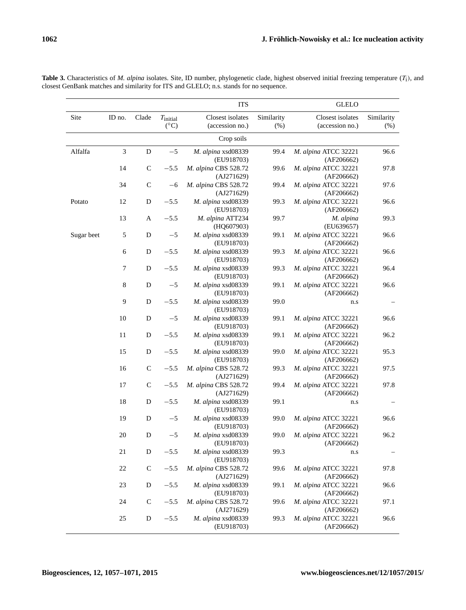|            |                |              |                                | <b>ITS</b>                          |                    | <b>GLELO</b>                        |                    |
|------------|----------------|--------------|--------------------------------|-------------------------------------|--------------------|-------------------------------------|--------------------|
| Site       | ID no.         | Clade        | $T_{initial}$<br>$(^{\circ}C)$ | Closest isolates<br>(accession no.) | Similarity<br>(% ) | Closest isolates<br>(accession no.) | Similarity<br>(% ) |
|            |                |              |                                | Crop soils                          |                    |                                     |                    |
| Alfalfa    | $\mathfrak{Z}$ | ${\bf D}$    | $-5$                           | M. alpina xsd08339<br>(EU918703)    | 99.4               | M. alpina ATCC 32221<br>(AF206662)  | 96.6               |
|            | 14             | $\mathsf{C}$ | $-5.5$                         | M. alpina CBS 528.72<br>(AJ271629)  | 99.6               | M. alpina ATCC 32221<br>(AF206662)  | 97.8               |
|            | 34             | $\mathbf C$  | $-6$                           | M. alpina CBS 528.72<br>(AJ271629)  | 99.4               | M. alpina ATCC 32221<br>(AF206662)  | 97.6               |
| Potato     | 12             | D            | $-5.5$                         | M. alpina xsd08339<br>(EU918703)    | 99.3               | M. alpina ATCC 32221<br>(AF206662)  | 96.6               |
|            | 13             | A            | $-5.5$                         | M. alpina ATT234<br>(HQ607903)      | 99.7               | M. alpina<br>(EU639657)             | 99.3               |
| Sugar beet | 5              | D            | $-5$                           | M. alpina xsd08339<br>(EU918703)    | 99.1               | M. alpina ATCC 32221<br>(AF206662)  | 96.6               |
|            | 6              | D            | $-5.5$                         | M. alpina xsd08339<br>(EU918703)    | 99.3               | M. alpina ATCC 32221<br>(AF206662)  | 96.6               |
|            | 7              | D            | $-5.5$                         | M. alpina xsd08339<br>(EU918703)    | 99.3               | M. alpina ATCC 32221<br>(AF206662)  | 96.4               |
|            | $\,$ 8 $\,$    | D            | $-5$                           | M. alpina xsd08339<br>(EU918703)    | 99.1               | M. alpina ATCC 32221<br>(AF206662)  | 96.6               |
|            | 9              | D            | $-5.5$                         | M. alpina xsd08339<br>(EU918703)    | 99.0               | n.s                                 |                    |
|            | 10             | D            | $-5$                           | M. alpina xsd08339<br>(EU918703)    | 99.1               | M. alpina ATCC 32221<br>(AF206662)  | 96.6               |
|            | 11             | D            | $-5.5$                         | M. alpina xsd08339<br>(EU918703)    | 99.1               | M. alpina ATCC 32221<br>(AF206662)  | 96.2               |
|            | 15             | D            | $-5.5$                         | M. alpina xsd08339<br>(EU918703)    | 99.0               | M. alpina ATCC 32221<br>(AF206662)  | 95.3               |
|            | 16             | $\mathsf{C}$ | $-5.5$                         | M. alpina CBS 528.72<br>(AJ271629)  | 99.3               | M. alpina ATCC 32221<br>(AF206662)  | 97.5               |
|            | 17             | $\mathsf{C}$ | $-5.5$                         | M. alpina CBS 528.72<br>(AJ271629)  | 99.4               | M. alpina ATCC 32221<br>(AF206662)  | 97.8               |
|            | 18             | D            | $-5.5$                         | M. alpina xsd08339<br>(EU918703)    | 99.1               | n.s                                 |                    |
|            | 19             | D            | $-5$                           | M. alpina xsd08339<br>(EU918703)    | 99.0               | M. alpina ATCC 32221<br>(AF206662)  | 96.6               |
|            | 20             | D            | $-5$                           | M. alpina xsd08339<br>(EU918703)    | 99.0               | M. alpina ATCC 32221<br>(AF206662)  | 96.2               |
|            | 21             | D            | $-5.5$                         | M. alpina xsd08339<br>(EU918703)    | 99.3               | n.s                                 |                    |
|            | 22             | $\mathsf{C}$ | $-5.5$                         | M. alpina CBS 528.72<br>(AJ271629)  | 99.6               | M. alpina ATCC 32221<br>(AF206662)  | 97.8               |
|            | 23             | D            | $-5.5$                         | M. alpina xsd08339<br>(EU918703)    | 99.1               | M. alpina ATCC 32221<br>(AF206662)  | 96.6               |
|            | 24             | $\mathsf{C}$ | $-5.5$                         | M. alpina CBS 528.72<br>(AJ271629)  | 99.6               | M. alpina ATCC 32221<br>(AF206662)  | 97.1               |
|            | 25             | D            | $-5.5$                         | M. alpina xsd08339<br>(EU918703)    | 99.3               | M. alpina ATCC 32221<br>(AF206662)  | 96.6               |

**Table 3.** Characteristics of *M. alpina* isolates. Site, ID number, phylogenetic clade, highest observed initial freezing temperature (Ti ), and closest GenBank matches and similarity for ITS and GLELO; n.s. stands for no sequence.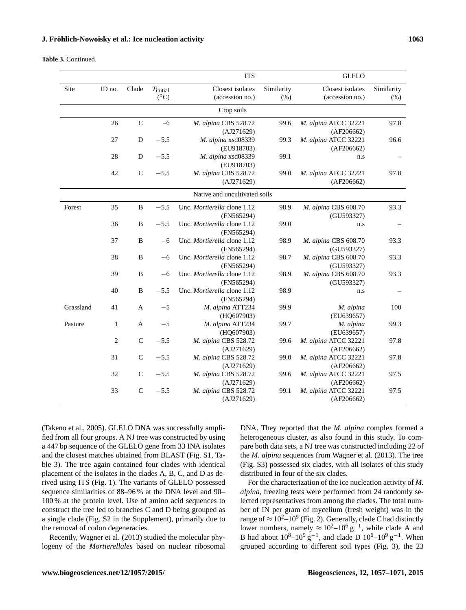**Table 3.** Continued.

|           |              |              |               | <b>ITS</b>                    |            | <b>GLELO</b>         |            |
|-----------|--------------|--------------|---------------|-------------------------------|------------|----------------------|------------|
| Site      | ID no.       | Clade        | $T_{initial}$ | Closest isolates              | Similarity | Closest isolates     | Similarity |
|           |              |              | $(^{\circ}C)$ | (accession no.)               | (% )       | (accession no.)      | (% )       |
|           |              |              |               | Crop soils                    |            |                      |            |
|           | 26           | ${\bf C}$    | $-6$          | M. alpina CBS 528.72          | 99.6       | M. alpina ATCC 32221 | 97.8       |
|           |              |              |               | (AJ271629)                    |            | (AF206662)           |            |
|           | 27           | D            | $-5.5$        | M. alpina xsd08339            | 99.3       | M. alpina ATCC 32221 | 96.6       |
|           |              |              |               | (EU918703)                    |            | (AF206662)           |            |
|           | 28           | D            | $-5.5$        | M. alpina xsd08339            | 99.1       | n.s                  |            |
|           |              |              |               | (EU918703)                    |            |                      |            |
|           | 42           | $\mathbf C$  | $-5.5$        | M. alpina CBS 528.72          | 99.0       | M. alpina ATCC 32221 | 97.8       |
|           |              |              |               | (AJ271629)                    |            | (AF206662)           |            |
|           |              |              |               | Native and uncultivated soils |            |                      |            |
| Forest    | 35           | $\, {\bf B}$ | $-5.5$        | Unc. Mortierella clone 1.12   | 98.9       | M. alpina CBS 608.70 | 93.3       |
|           |              |              |               | (FN565294)                    |            | (GU593327)           |            |
|           | 36           | $\, {\bf B}$ | $-5.5$        | Unc. Mortierella clone 1.12   | 99.0       | n.s                  |            |
|           |              |              |               | (FN565294)                    |            |                      |            |
|           | 37           | B            | $-6$          | Unc. Mortierella clone 1.12   | 98.9       | M. alpina CBS 608.70 | 93.3       |
|           |              |              |               | (FN565294)                    |            | (GU593327)           |            |
|           | 38           | B            | $-6$          | Unc. Mortierella clone 1.12   | 98.7       | M. alpina CBS 608.70 | 93.3       |
|           |              |              |               | (FN565294)                    |            | (GU593327)           |            |
|           | 39           | $\, {\bf B}$ | $-6$          | Unc. Mortierella clone 1.12   | 98.9       | M. alpina CBS 608.70 | 93.3       |
|           |              |              |               | (FN565294)                    |            | (GU593327)           |            |
|           | 40           | $\, {\bf B}$ | $-5.5$        | Unc. Mortierella clone 1.12   | 98.9       | n.s                  |            |
|           |              |              |               | (FN565294)                    |            |                      |            |
| Grassland | 41           | $\mathbf{A}$ | $-5$          | M. alpina ATT234              | 99.9       | M. alpina            | 100        |
|           |              |              |               | (HQ607903)                    |            | (EU639657)           |            |
| Pasture   | $\mathbf{1}$ | A            | $-5$          | M. alpina ATT234              | 99.7       | M. alpina            | 99.3       |
|           |              |              |               | (HQ607903)                    |            | (EU639657)           |            |
|           | 2            | $\mathbf C$  | $-5.5$        | M. alpina CBS 528.72          | 99.6       | M. alpina ATCC 32221 | 97.8       |
|           |              |              |               | (AJ271629)                    |            | (AF206662)           |            |
|           | 31           | $\mathbf C$  | $-5.5$        | M. alpina CBS 528.72          | 99.0       | M. alpina ATCC 32221 | 97.8       |
|           |              |              |               | (AJ271629)                    |            | (AF206662)           |            |
|           | 32           | $\mathsf{C}$ | $-5.5$        | M. alpina CBS 528.72          | 99.6       | M. alpina ATCC 32221 | 97.5       |
|           |              |              |               | (AJ271629)                    |            | (AF206662)           |            |
|           | 33           | $\mathbf C$  | $-5.5$        | M. alpina CBS 528.72          | 99.1       | M. alpina ATCC 32221 | 97.5       |
|           |              |              |               | (AJ271629)                    |            | (AF206662)           |            |

(Takeno et al., 2005). GLELO DNA was successfully amplified from all four groups. A NJ tree was constructed by using a 447 bp sequence of the GLELO gene from 33 INA isolates and the closest matches obtained from BLAST (Fig. S1, Table 3). The tree again contained four clades with identical placement of the isolates in the clades A, B, C, and D as derived using ITS (Fig. 1). The variants of GLELO possessed sequence similarities of 88–96 % at the DNA level and 90– 100 % at the protein level. Use of amino acid sequences to construct the tree led to branches C and D being grouped as a single clade (Fig. S2 in the Supplement), primarily due to the removal of codon degeneracies.

Recently, Wagner et al. (2013) studied the molecular phylogeny of the *Mortierellales* based on nuclear ribosomal DNA. They reported that the *M. alpina* complex formed a heterogeneous cluster, as also found in this study. To compare both data sets, a NJ tree was constructed including 22 of the *M. alpina* sequences from Wagner et al. (2013). The tree (Fig. S3) possessed six clades, with all isolates of this study distributed in four of the six clades.

For the characterization of the ice nucleation activity of *M. alpina,* freezing tests were performed from 24 randomly selected representatives from among the clades. The total number of IN per gram of mycelium (fresh weight) was in the range of  $\approx 10^2 - 10^9$  (Fig. 2). Generally, clade C had distinctly lower numbers, namely  $\approx 10^2 - 10^6$  g<sup>-1</sup>, while clade A and B had about  $10^8 - 10^9$  g<sup>-1</sup>, and clade D  $10^6 - 10^9$  g<sup>-1</sup>. When grouped according to different soil types (Fig. 3), the 23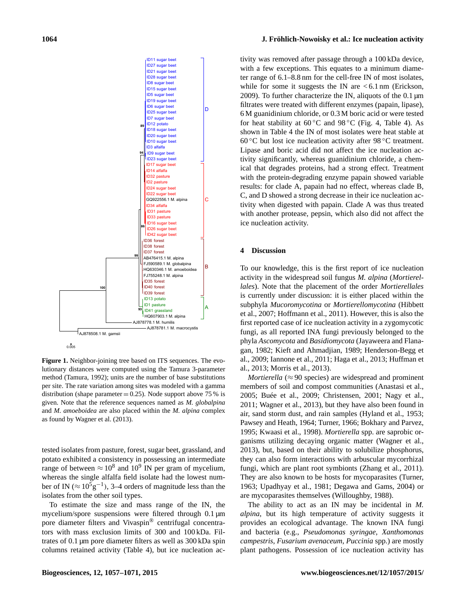

**Figure 1.** Neighbor-joining tree based on ITS sequences. The evolutionary distances were computed using the Tamura 3-parameter method (Tamura, 1992); units are the number of base substitutions per site. The rate variation among sites was modeled with a gamma distribution (shape parameter  $= 0.25$ ). Node support above 75 % is given. Note that the reference sequences named as *M. globalpina* and *M. amoeboidea* are also placed within the *M. alpina* complex as found by Wagner et al. (2013).

tested isolates from pasture, forest, sugar beet, grassland, and potato exhibited a consistency in possessing an intermediate range of between  $\approx 10^8$  and  $10^9$  IN per gram of mycelium, whereas the single alfalfa field isolate had the lowest number of IN ( $\approx 10^5$ g<sup>-1</sup>), 3-4 orders of magnitude less than the isolates from the other soil types.

To estimate the size and mass range of the IN, the mycelium/spore suspensions were filtered through 0.1  $\mu$ m pore diameter filters and Vivaspin® centrifugal concentrators with mass exclusion limits of 300 and 100 kDa. Filtrates of 0.1 µm pore diameter filters as well as 300 kDa spin columns retained activity (Table 4), but ice nucleation ac-

#### **1064 J. Fröhlich-Nowoisky et al.: Ice nucleation activity**

tivity was removed after passage through a 100 kDa device, with a few exceptions. This equates to a minimum diameter range of 6.1–8.8 nm for the cell-free IN of most isolates, while for some it suggests the IN are  $< 6.1$  nm (Erickson, 2009). To further characterize the IN, aliquots of the 0.1 µm filtrates were treated with different enzymes (papain, lipase), 6 M guanidinium chloride, or 0.3 M boric acid or were tested for heat stability at  $60^{\circ}$ C and  $98^{\circ}$ C (Fig. 4, Table 4). As shown in Table 4 the IN of most isolates were heat stable at 60 °C but lost ice nucleation activity after 98 °C treatment. Lipase and boric acid did not affect the ice nucleation activity significantly, whereas guanidinium chloride, a chemical that degrades proteins, had a strong effect. Treatment with the protein-degrading enzyme papain showed variable results: for clade A, papain had no effect, whereas clade B, C, and D showed a strong decrease in their ice nucleation activity when digested with papain. Clade A was thus treated with another protease, pepsin, which also did not affect the ice nucleation activity.

#### **4 Discussion**

To our knowledge, this is the first report of ice nucleation activity in the widespread soil fungus *M. alpina* (*Mortierellales*). Note that the placement of the order *Mortierellales* is currently under discussion: it is either placed within the subphyla *Mucoromycotina* or *Mortierellomycotina* (Hibbett et al., 2007; Hoffmann et al., 2011). However, this is also the first reported case of ice nucleation activity in a zygomycotic fungi, as all reported INA fungi previously belonged to the phyla *Ascomycota* and *Basidiomycota* (Jayaweera and Flanagan, 1982; Kieft and Ahmadjian, 1989; Henderson-Begg et al., 2009; Iannone et al., 2011; Haga et al., 2013; Huffman et al., 2013; Morris et al., 2013).

*Mortierella* ( $\approx$  90 species) are widespread and prominent members of soil and compost communities (Anastasi et al., 2005; Buée et al., 2009; Christensen, 2001; Nagy et al., 2011; Wagner et al., 2013), but they have also been found in air, sand storm dust, and rain samples (Hyland et al., 1953; Pawsey and Heath, 1964; Turner, 1966; Bokhary and Parvez, 1995; Kwaasi et al., 1998). *Mortierella* spp. are saprobic organisms utilizing decaying organic matter (Wagner et al., 2013), but, based on their ability to solubilize phosphorus, they can also form interactions with arbuscular mycorrhizal fungi, which are plant root symbionts (Zhang et al., 2011). They are also known to be hosts for mycoparasites (Turner, 1963; Upadhyay et al., 1981; Degawa and Gams, 2004) or are mycoparasites themselves (Willoughby, 1988).

The ability to act as an IN may be incidental in *M. alpina*, but its high temperature of activity suggests it provides an ecological advantage. The known INA fungi and bacteria (e.g., *Pseudomonas syringae*, *Xanthomonas campestris*, *Fusarium avenaceum*, *Puccinia* spp.) are mostly plant pathogens. Possession of ice nucleation activity has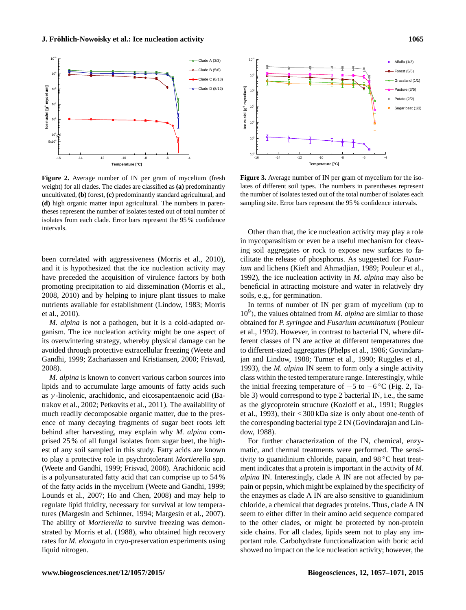

**Figure 2.** Average number of IN per gram of mycelium (fresh weight) for all clades. The clades are classified as **(a)** predominantly uncultivated, **(b)** forest, **(c)** predominantly standard agricultural, and **(d)** high organic matter input agricultural. The numbers in parentheses represent the number of isolates tested out of total number of isolates from each clade. Error bars represent the 95 % confidence intervals.

been correlated with aggressiveness (Morris et al., 2010), and it is hypothesized that the ice nucleation activity may have preceded the acquisition of virulence factors by both promoting precipitation to aid dissemination (Morris et al., 2008, 2010) and by helping to injure plant tissues to make nutrients available for establishment (Lindow, 1983; Morris et al., 2010).

*M. alpina* is not a pathogen, but it is a cold-adapted organism. The ice nucleation activity might be one aspect of its overwintering strategy, whereby physical damage can be avoided through protective extracellular freezing (Weete and Gandhi, 1999; Zachariassen and Kristiansen, 2000; Frisvad, 2008).

*M. alpina* is known to convert various carbon sources into lipids and to accumulate large amounts of fatty acids such as  $\gamma$ -linolenic, arachidonic, and eicosapentaenoic acid (Batrakov et al., 2002; Petkovits et al., 2011). The availability of much readily decomposable organic matter, due to the presence of many decaying fragments of sugar beet roots left behind after harvesting, may explain why *M. alpina* comprised 25 % of all fungal isolates from sugar beet, the highest of any soil sampled in this study. Fatty acids are known to play a protective role in psychrotolerant *Mortierella* spp. (Weete and Gandhi, 1999; Frisvad, 2008). Arachidonic acid is a polyunsaturated fatty acid that can comprise up to 54 % of the fatty acids in the mycelium (Weete and Gandhi, 1999; Lounds et al., 2007; Ho and Chen, 2008) and may help to regulate lipid fluidity, necessary for survival at low temperatures (Margesin and Schinner, 1994; Margesin et al., 2007). The ability of *Mortierella* to survive freezing was demonstrated by Morris et al. (1988), who obtained high recovery rates for *M. elongata* in cryo-preservation experiments using **Figure 2.** Awores **Figure 3.** Awong the mean-form of the mean-form of the system and and any of the mean-form of the system and any of the system and any of the system and any of the system and any of the system and a sy



**Figure 3.** Average number of IN per gram of mycelium for the isolates of different soil types. The numbers in parentheses represent the number of isolates tested out of the total number of isolates each sampling site. Error bars represent the 95 % confidence intervals.

Other than that, the ice nucleation activity may play a role in mycoparasitism or even be a useful mechanism for cleaving soil aggregates or rock to expose new surfaces to facilitate the release of phosphorus. As suggested for *Fusarium* and lichens (Kieft and Ahmadjian, 1989; Pouleur et al., 1992), the ice nucleation activity in *M. alpina* may also be beneficial in attracting moisture and water in relatively dry soils, e.g., for germination.

In terms of number of IN per gram of mycelium (up to 10<sup>9</sup> ), the values obtained from *M. alpina* are similar to those obtained for *P. syringae* and *Fusarium acuminatum* (Pouleur et al., 1992). However, in contrast to bacterial IN, where different classes of IN are active at different temperatures due to different-sized aggregates (Phelps et al., 1986; Govindarajan and Lindow, 1988; Turner et al., 1990; Ruggles et al., 1993), the *M. alpina* IN seem to form only a single activity class within the tested temperature range. Interestingly, while the initial freezing temperature of  $-5$  to  $-6$ °C (Fig. 2, Table 3) would correspond to type 2 bacterial IN, i.e., the same as the glycoprotein structure (Kozloff et al., 1991; Ruggles et al., 1993), their < 300 kDa size is only about one-tenth of the corresponding bacterial type 2 IN (Govindarajan and Lindow, 1988).

For further characterization of the IN, chemical, enzymatic, and thermal treatments were performed. The sensitivity to guanidinium chloride, papain, and 98 ◦C heat treatment indicates that a protein is important in the activity of *M. alpina* IN. Interestingly, clade A IN are not affected by papain or pepsin, which might be explained by the specificity of the enzymes as clade A IN are also sensitive to guanidinium chloride, a chemical that degrades proteins. Thus, clade A IN seem to either differ in their amino acid sequence compared to the other clades, or might be protected by non-protein side chains. For all clades, lipids seem not to play any important role. Carbohydrate functionalization with boric acid showed no impact on the ice nucleation activity; however, the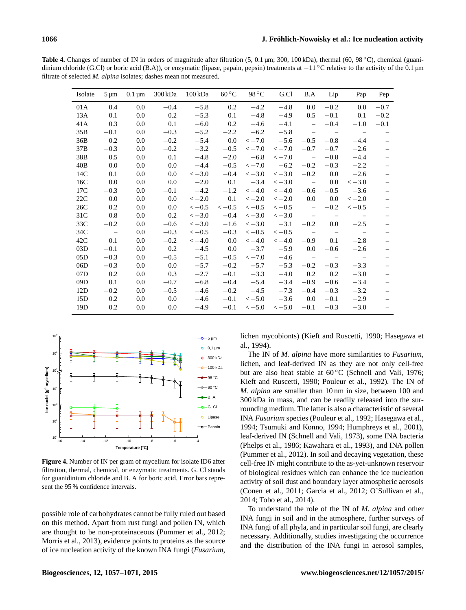Table 4. Changes of number of IN in orders of magnitude after filtration (5, 0.1 µm; 300, 100 kDa), thermal (60, 98 ℃), chemical (guanidinium chloride (G.Cl) or boric acid (B.A)), or enzymatic (lipase, papain, pepsin) treatments at −11 °C relative to the activity of the 0.1 µm filtrate of selected *M. alpina* isolates; dashes mean not measured.

| Isolate | $5 \mu m$ | $0.1 \,\mathrm{\mu m}$ | 300 kDa | 100 kDa | $60^{\circ}$ C | 98 °C   | G.Cl    | B.A                      | Lip                             | Pap                      | Pep                      |
|---------|-----------|------------------------|---------|---------|----------------|---------|---------|--------------------------|---------------------------------|--------------------------|--------------------------|
| 01A     | 0.4       | 0.0                    | $-0.4$  | $-5.8$  | 0.2            | $-4.2$  | $-4.8$  | 0.0                      | $-0.2$                          | 0.0                      | $-0.7$                   |
| 13A     | 0.1       | 0.0                    | 0.2     | $-5.3$  | 0.1            | $-4.8$  | $-4.9$  | 0.5                      | $-0.1$                          | 0.1                      | $-0.2$                   |
| 41A     | 0.3       | 0.0                    | 0.1     | $-6.0$  | 0.2            | $-4.6$  | $-4.1$  | $\equiv$                 | $-0.4$                          | $-1.0$                   | $-0.1$                   |
| 35B     | $-0.1$    | 0.0                    | $-0.3$  | $-5.2$  | $-2.2$         | $-6.2$  | $-5.8$  | $\overline{\phantom{m}}$ | $\hspace{0.1mm}-\hspace{0.1mm}$ | $\overline{\phantom{m}}$ |                          |
| 36B     | 0.2       | 0.0                    | $-0.2$  | $-5.4$  | 0.0            | $<-7.0$ | $-5.6$  | $-0.5$                   | $-0.8$                          | $-4.4$                   |                          |
| 37B     | $-0.3$    | 0.0                    | $-0.2$  | $-3.2$  | $-0.5$         | $<-7.0$ | $<-7.0$ | $-0.7$                   | $-0.7$                          | $-2.6$                   |                          |
| 38B     | 0.5       | 0.0                    | 0.1     | $-4.8$  | $-2.0$         | $-6.8$  | $<-7.0$ | $\overline{\phantom{m}}$ | $-0.8$                          | $-4.4$                   |                          |
| 40B     | 0.0       | 0.0                    | 0.0     | $-4.4$  | $-0.5$         | $<-7.0$ | $-6.2$  | $-0.2$                   | $-0.3$                          | $-2.2$                   |                          |
| 14C     | 0.1       | 0.0                    | $0.0\,$ | $<-3.0$ | $-0.4$         | $<-3.0$ | $<-3.0$ | $-0.2$                   | 0.0                             | $-2.6$                   |                          |
| 16C     | 0.0       | 0.0                    | 0.0     | $-2.0$  | 0.1            | $-3.4$  | $<-3.0$ | $\overline{\phantom{a}}$ | 0.0                             | $<-3.0$                  |                          |
| 17C     | $-0.3$    | 0.0                    | $-0.1$  | $-4.2$  | $-1.2$         | $<-4.0$ | $<-4.0$ | $-0.6$                   | $-0.5$                          | $-3.6$                   | $\overline{\phantom{0}}$ |
| 22C     | 0.0       | 0.0                    | 0.0     | $<-2.0$ | 0.1            | $<-2.0$ | $<-2.0$ | 0.0                      | 0.0                             | $<-2.0$                  |                          |
| 26C     | 0.2       | 0.0                    | 0.0     | $<-0.5$ | $<-0.5$        | $<-0.5$ | $<-0.5$ | $\overline{\phantom{m}}$ | $-0.2$                          | $<-0.5$                  |                          |
| 31C     | 0.8       | 0.0                    | 0.2     | $<-3.0$ | $-0.4$         | $<-3.0$ | $<-3.0$ | $\overline{\phantom{m}}$ | $\overline{\phantom{m}}$        |                          | $\overline{\phantom{m}}$ |
| 33C     | $-0.2$    | 0.0                    | $-0.6$  | $<-3.0$ | $-1.6$         | $<-3.0$ | $-3.1$  | $-0.2$                   | 0.0                             | $-2.5$                   |                          |
| 34C     | $\sim$    | 0.0                    | $-0.3$  | $<-0.5$ | $-0.3$         | $<-0.5$ | $<-0.5$ | $\overline{\phantom{m}}$ | $\sim$ $-$                      | $\overline{\phantom{m}}$ | $\overline{\phantom{m}}$ |
| 42C     | 0.1       | 0.0                    | $-0.2$  | $<-4.0$ | 0.0            | $<-4.0$ | $<-4.0$ | $-0.9$                   | 0.1                             | $-2.8$                   |                          |
| 03D     | $-0.1$    | 0.0                    | 0.2     | $-4.5$  | 0.0            | $-3.7$  | $-5.9$  | $0.0\,$                  | $-0.6$                          | $-2.6$                   |                          |
| 05D     | $-0.3$    | 0.0                    | $-0.5$  | $-5.1$  | $-0.5$         | $<-7.0$ | $-4.6$  | $\overline{\phantom{m}}$ |                                 | $\overline{\phantom{m}}$ | $\overline{\phantom{m}}$ |
| 06D     | $-0.3$    | 0.0                    | 0.0     | $-5.7$  | $-0.2$         | $-5.7$  | $-5.3$  | $-0.2$                   | $-0.3$                          | $-3.3$                   |                          |
| 07D     | 0.2       | 0.0                    | 0.3     | $-2.7$  | $-0.1$         | $-3.3$  | $-4.0$  | 0.2                      | 0.2                             | $-3.0$                   |                          |
| 09D     | 0.1       | 0.0                    | $-0.7$  | $-6.8$  | $-0.4$         | $-5.4$  | $-3.4$  | $-0.9$                   | $-0.6$                          | $-3.4$                   |                          |
| 12D     | $-0.2$    | 0.0                    | $-0.5$  | $-4.6$  | $-0.2$         | $-4.5$  | $-7.3$  | $-0.4$                   | $-0.3$                          | $-3.2$                   |                          |
| 15D     | 0.2       | 0.0                    | 0.0     | $-4.6$  | $-0.1$         | $<-5.0$ | $-3.6$  | 0.0                      | $-0.1$                          | $-2.9$                   |                          |
| 19D     | 0.2       | 0.0                    | 0.0     | $-4.9$  | $-0.1$         | $<-5.0$ | $<-5.0$ | $-0.1$                   | $-0.3$                          | $-3.0$                   |                          |



**Figure 4.** Number of IN per gram of mycelium for isolate ID6 after filtration, thermal, chemical, or enzymatic treatments. G. Cl stands for guanidinium chloride and B. A for boric acid. Error bars represent the 95 % confidence intervals.

possible role of carbohydrates cannot be fully ruled out based on this method. Apart from rust fungi and pollen IN, which are thought to be non-proteinaceous (Pummer et al., 2012; Morris et al., 2013), evidence points to proteins as the source of ice nucleation activity of the known INA fungi (*Fusarium*,

5 µm lichen mycobionts) (Kieft and Ruscetti, 1990; Hasegawa et al., 1994).

> The IN of *M. alpina* have more similarities to *Fusarium*, lichen, and leaf-derived IN as they are not only cell-free but are also heat stable at  $60^{\circ}$ C (Schnell and Vali, 1976; Kieft and Ruscetti, 1990; Pouleur et al., 1992). The IN of *M. alpina* are smaller than 10 nm in size, between 100 and 300 kDa in mass, and can be readily released into the surrounding medium. The latter is also a characteristic of several INA *Fusarium* species (Pouleur et al., 1992; Hasegawa et al., 1994; Tsumuki and Konno, 1994; Humphreys et al., 2001), leaf-derived IN (Schnell and Vali, 1973), some INA bacteria (Phelps et al., 1986; Kawahara et al., 1993), and INA pollen (Pummer et al., 2012). In soil and decaying vegetation, these cell-free IN might contribute to the as-yet-unknown reservoir of biological residues which can enhance the ice nucleation activity of soil dust and boundary layer atmospheric aerosols (Conen et al., 2011; Garcia et al., 2012; O'Sullivan et al., 2014; Tobo et al., 2014).

> To understand the role of the IN of *M. alpina* and other INA fungi in soil and in the atmosphere, further surveys of INA fungi of all phyla, and in particular soil fungi, are clearly necessary. Additionally, studies investigating the occurrence and the distribution of the INA fungi in aerosol samples,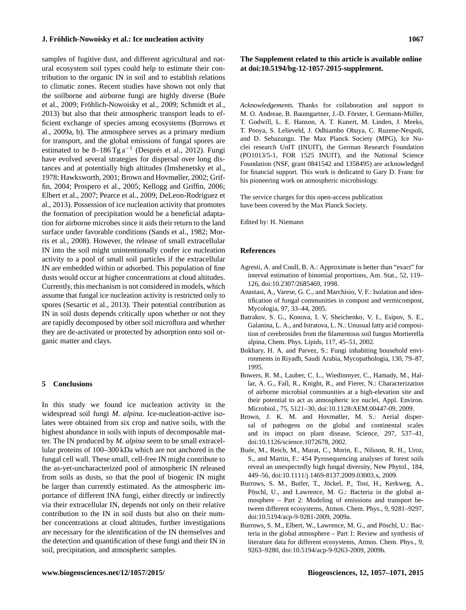samples of fugitive dust, and different agricultural and natural ecosystem soil types could help to estimate their contribution to the organic IN in soil and to establish relations to climatic zones. Recent studies have shown not only that the soilborne and airborne fungi are highly diverse (Buée et al., 2009; Fröhlich-Nowoisky et al., 2009; Schmidt et al., 2013) but also that their atmospheric transport leads to efficient exchange of species among ecosystems (Burrows et al., 2009a, b). The atmosphere serves as a primary medium for transport, and the global emissions of fungal spores are estimated to be  $8-186$  Tg  $a^{-1}$  (Després et al., 2012). Fungi have evolved several strategies for dispersal over long distances and at potentially high altitudes (Imshenetsky et al., 1978; Hawksworth, 2001; Brown and Hovmøller, 2002; Griffin, 2004; Prospero et al., 2005; Kellogg and Griffin, 2006; Elbert et al., 2007; Pearce et al., 2009; DeLeon-Rodriguez et al., 2013). Possession of ice nucleation activity that promotes the formation of precipitation would be a beneficial adaptation for airborne microbes since it aids their return to the land surface under favorable conditions (Sands et al., 1982; Morris et al., 2008). However, the release of small extracellular IN into the soil might unintentionally confer ice nucleation activity to a pool of small soil particles if the extracellular IN are embedded within or adsorbed. This population of fine dusts would occur at higher concentrations at cloud altitudes. Currently, this mechanism is not considered in models, which assume that fungal ice nucleation activity is restricted only to spores (Sesartic et al., 2013). Their potential contribution as IN in soil dusts depends critically upon whether or not they are rapidly decomposed by other soil microflora and whether they are de-activated or protected by adsorption onto soil organic matter and clays.

#### **5 Conclusions**

In this study we found ice nucleation activity in the widespread soil fungi *M. alpina*. Ice-nucleation-active isolates were obtained from six crop and native soils, with the highest abundance in soils with inputs of decomposable matter. The IN produced by *M. alpina* seem to be small extracellular proteins of 100–300 kDa which are not anchored in the fungal cell wall. These small, cell-free IN might contribute to the as-yet-uncharacterized pool of atmospheric IN released from soils as dusts, so that the pool of biogenic IN might be larger than currently estimated. As the atmospheric importance of different INA fungi, either directly or indirectly via their extracellular IN, depends not only on their relative contribution to the IN in soil dusts but also on their number concentrations at cloud altitudes, further investigations are necessary for the identification of the IN themselves and the detection and quantification of these fungi and their IN in soil, precipitation, and atmospheric samples.

## **The Supplement related to this article is available online at [doi:10.5194/bg-12-1057-2015-supplement.](http://dx.doi.org/10.5194/bg-12-1057-2015-supplement)**

*Acknowledgements.* Thanks for collaboration and support to M. O. Andreae, B. Baumgartner, J.-D. Förster, I. Germann-Müller, T. Godwill, L. E. Hanson, A. T. Kunert, M. Linden, J. Meeks, T. Pooya, S. Lelieveld, J. Odhiambo Obuya, C. Ruzene-Nespoli, and D. Sebazungu. The Max Planck Society (MPG), Ice Nuclei research UnIT (INUIT), the German Research Foundation (PO1013/5-1, FOR 1525 INUIT), and the National Science Foundation (NSF, grant 0841542 and 1358495) are acknowledged for financial support. This work is dedicated to Gary D. Franc for his pioneering work on atmospheric microbiology.

The service charges for this open-access publication have been covered by the Max Planck Society.

Edited by: H. Niemann

#### **References**

- Agresti, A. and Coull, B. A.: Approximate is better than "exact" for interval estimation of binomial proportions, Am. Stat., 52, 119– 126, doi[:10.2307/2685469,](http://dx.doi.org/10.2307/2685469) 1998.
- Anastasi, A., Varese, G. C., and Marchisio, V. F.: Isolation and identification of fungal communities in compost and vermicompost, Mycologia, 97, 33–44, 2005.
- Batrakov, S. G., Konova, I. V, Sheichenko, V. I., Esipov, S. E., Galanina, L. A., and Istratova, L. N.: Unusual fatty acid composition of cerebrosides from the filamentous soil fungus Mortierella alpina, Chem. Phys. Lipids, 117, 45–51, 2002.
- Bokhary, H. A. and Parvez, S.: Fungi inhabiting household environments in Riyadh, Saudi Arabia, Mycopathologia, 130, 79–87, 1995.
- Bowers, R. M., Lauber, C. L., Wiedinmyer, C., Hamady, M., Hallar, A. G., Fall, R., Knight, R., and Fierer, N.: Characterization of airborne microbial communities at a high-elevation site and their potential to act as atmospheric ice nuclei, Appl. Environ. Microbiol., 75, 5121–30, doi[:10.1128/AEM.00447-09,](http://dx.doi.org/10.1128/AEM.00447-09) 2009.
- Brown, J. K. M. and Hovmøller, M. S.: Aerial dispersal of pathogens on the global and continental scales and its impact on plant disease, Science, 297, 537–41, doi[:10.1126/science.1072678,](http://dx.doi.org/10.1126/science.1072678) 2002.
- Buée, M., Reich, M., Murat, C., Morin, E., Nilsson, R. H., Uroz, S., and Martin, F.: 454 Pyrosequencing analyses of forest soils reveal an unexpectedly high fungal diversity, New Phytol., 184, 449–56, doi[:10.1111/j.1469-8137.2009.03003.x,](http://dx.doi.org/10.1111/j.1469-8137.2009.03003.x) 2009.
- Burrows, S. M., Butler, T., Jöckel, P., Tost, H., Kerkweg, A., Pöschl, U., and Lawrence, M. G.: Bacteria in the global atmosphere – Part 2: Modeling of emissions and transport between different ecosystems, Atmos. Chem. Phys., 9, 9281–9297, doi[:10.5194/acp-9-9281-2009,](http://dx.doi.org/10.5194/acp-9-9281-2009) 2009a.
- Burrows, S. M., Elbert, W., Lawrence, M. G., and Pöschl, U.: Bacteria in the global atmosphere – Part 1: Review and synthesis of literature data for different ecosystems, Atmos. Chem. Phys., 9, 9263–9280, doi[:10.5194/acp-9-9263-2009,](http://dx.doi.org/10.5194/acp-9-9263-2009) 2009b.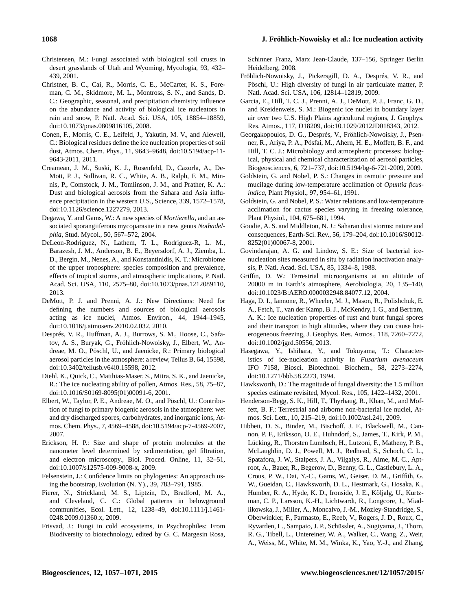- Christensen, M.: Fungi associated with biological soil crusts in desert grasslands of Utah and Wyoming, Mycologia, 93, 432– 439, 2001.
- Christner, B. C., Cai, R., Morris, C. E., McCarter, K. S., Foreman, C. M., Skidmore, M. L., Montross, S. N., and Sands, D. C.: Geographic, seasonal, and precipitation chemistry influence on the abundance and activity of biological ice nucleators in rain and snow, P. Natl. Acad. Sci. USA, 105, 18854–18859, doi[:10.1073/pnas.0809816105,](http://dx.doi.org/10.1073/pnas.0809816105) 2008.
- Conen, F., Morris, C. E., Leifeld, J., Yakutin, M. V., and Alewell, C.: Biological residues define the ice nucleation properties of soil dust, Atmos. Chem. Phys., 11, 9643–9648, doi[:10.5194/acp-11-](http://dx.doi.org/10.5194/acp-11-9643-2011) [9643-2011,](http://dx.doi.org/10.5194/acp-11-9643-2011) 2011.
- Creamean, J. M., Suski, K. J., Rosenfeld, D., Cazorla, A., De-Mott, P. J., Sullivan, R. C., White, A. B., Ralph, F. M., Minnis, P., Comstock, J. M., Tomlinson, J. M., and Prather, K. A.: Dust and biological aerosols from the Sahara and Asia influence precipitation in the western U.S., Science, 339, 1572–1578, doi[:10.1126/science.1227279,](http://dx.doi.org/10.1126/science.1227279) 2013.
- Degawa, Y. and Gams, W.: A new species of *Mortierella*, and an associated sporangiiferous mycoparasite in a new genus *Nothadelphia*, Stud. Mycol., 50, 567–572, 2004.
- DeLeon-Rodriguez, N., Lathem, T. L., Rodriguez-R, L. M., Barazesh, J. M., Anderson, B. E., Beyersdorf, A. J., Ziemba, L. D., Bergin, M., Nenes, A., and Konstantinidis, K. T.: Microbiome of the upper troposphere: species composition and prevalence, effects of tropical storms, and atmospheric implications, P. Natl. Acad. Sci. USA, 110, 2575–80, doi[:10.1073/pnas.1212089110,](http://dx.doi.org/10.1073/pnas.1212089110) 2013.
- DeMott, P. J. and Prenni, A. J.: New Directions: Need for defining the numbers and sources of biological aerosols acting as ice nuclei, Atmos. Environ., 44, 1944–1945, doi[:10.1016/j.atmosenv.2010.02.032,](http://dx.doi.org/10.1016/j.atmosenv.2010.02.032) 2010.
- Després, V. R., Huffman, A. J., Burrows, S. M., Hoose, C., Safatov, A. S., Buryak, G., Fröhlich-Nowoisky, J., Elbert, W., Andreae, M. O., Pöschl, U., and Jaenicke, R.: Primary biological aerosol particles in the atmosphere: a review, Tellus B, 64, 15598, doi[:10.3402/tellusb.v64i0.15598,](http://dx.doi.org/10.3402/tellusb.v64i0.15598) 2012.
- Diehl, K., Quick, C., Matthias-Maser, S., Mitra, S. K., and Jaenicke, R.: The ice nucleating ability of pollen, Atmos. Res., 58, 75–87, doi[:10.1016/S0169-8095\(01\)00091-6,](http://dx.doi.org/10.1016/S0169-8095(01)00091-6) 2001.
- Elbert, W., Taylor, P. E., Andreae, M. O., and Pöschl, U.: Contribution of fungi to primary biogenic aerosols in the atmosphere: wet and dry discharged spores, carbohydrates, and inorganic ions, Atmos. Chem. Phys., 7, 4569–4588, doi[:10.5194/acp-7-4569-2007,](http://dx.doi.org/10.5194/acp-7-4569-2007) 2007.
- Erickson, H. P.: Size and shape of protein molecules at the nanometer level determined by sedimentation, gel filtration, and electron microscopy., Biol. Proced. Online, 11, 32–51, doi[:10.1007/s12575-009-9008-x,](http://dx.doi.org/10.1007/s12575-009-9008-x) 2009.
- Felsenstein, J.: Confidence limits on phylogenies: An approach using the bootstrap, Evolution (N. Y)., 39, 783–791, 1985.
- Fierer, N., Strickland, M. S., Liptzin, D., Bradford, M. A., and Cleveland, C. C.: Global patterns in belowground communities, Ecol. Lett., 12, 1238–49, doi[:10.1111/j.1461-](http://dx.doi.org/10.1111/j.1461-0248.2009.01360.x) [0248.2009.01360.x,](http://dx.doi.org/10.1111/j.1461-0248.2009.01360.x) 2009.
- Frisvad, J.: Fungi in cold ecosystems, in Psychrophiles: From Biodiversity to biotechnology, edited by G. C. Margesin Rosa,

Schinner Franz, Marx Jean-Claude, 137–156, Springer Berlin Heidelberg, 2008.

- Fröhlich-Nowoisky, J., Pickersgill, D. A., Després, V. R., and Pöschl, U.: High diversity of fungi in air particulate matter, P. Natl. Acad. Sci. USA, 106, 12814–12819, 2009.
- Garcia, E., Hill, T. C. J., Prenni, A. J., DeMott, P. J., Franc, G. D., and Kreidenweis, S. M.: Biogenic ice nuclei in boundary layer air over two U.S. High Plains agricultural regions, J. Geophys. Res. Atmos., 117, D18209, doi[:10.1029/2012JD018343,](http://dx.doi.org/10.1029/2012JD018343) 2012.
- Georgakopoulos, D. G., Després, V., Fröhlich-Nowoisky, J., Psenner, R., Ariya, P. A., Pósfai, M., Ahern, H. E., Moffett, B. F., and Hill, T. C. J.: Microbiology and atmospheric processes: biological, physical and chemical characterization of aerosol particles, Biogeosciences, 6, 721–737, doi[:10.5194/bg-6-721-2009,](http://dx.doi.org/10.5194/bg-6-721-2009) 2009.
- Goldstein, G. and Nobel, P. S.: Changes in osmotic pressure and mucilage during low-temperature acclimation of *Opuntia ficusindica*, Plant Physiol., 97, 954–61, 1991.
- Goldstein, G. and Nobel, P. S.: Water relations and low-temperature acclimation for cactus species varying in freezing tolerance, Plant Physiol., 104, 675–681, 1994.
- Goudie, A. S. and Middleton, N. J.: Saharan dust storms: nature and consequences, Earth-Sci. Rev., 56, 179–204, doi[:10.1016/S0012-](http://dx.doi.org/10.1016/S0012-8252(01)00067-8) [8252\(01\)00067-8,](http://dx.doi.org/10.1016/S0012-8252(01)00067-8) 2001.
- Govindarajan, A. G. and Lindow, S. E.: Size of bacterial icenucleation sites measured in situ by radiation inactivation analysis, P. Natl. Acad. Sci. USA, 85, 1334–8, 1988.
- Griffin, D. W.: Terrestrial microorganisms at an altitude of 20000 m in Earth's atmosphere, Aerobiologia, 20, 135–140, doi[:10.1023/B:AERO.0000032948.84077.12,](http://dx.doi.org/10.1023/B:AERO.0000032948.84077.12) 2004.
- Haga, D. I., Iannone, R., Wheeler, M. J., Mason, R., Polishchuk, E. A., Fetch, T., van der Kamp, B. J., McKendry, I. G., and Bertram, A. K.: Ice nucleation properties of rust and bunt fungal spores and their transport to high altitudes, where they can cause heterogeneous freezing, J. Geophys. Res. Atmos., 118, 7260–7272, doi[:10.1002/jgrd.50556,](http://dx.doi.org/10.1002/jgrd.50556) 2013.
- Hasegawa, Y., Ishihara, Y., and Tokuyama, T.: Characteristics of ice-nucleation activity in *Fusarium avenaceum* IFO 7158, Biosci. Biotechnol. Biochem., 58, 2273–2274, doi[:10.1271/bbb.58.2273,](http://dx.doi.org/10.1271/bbb.58.2273) 1994.
- Hawksworth, D.: The magnitude of fungal diversity: the 1.5 million species estimate revisited, Mycol. Res., 105, 1422–1432, 2001.
- Henderson-Begg, S. K., Hill, T., Thyrhaug, R., Khan, M., and Moffett, B. F.: Terrestrial and airborne non-bacterial ice nuclei, Atmos. Sci. Lett., 10, 215–219, doi[:10.1002/asl.241,](http://dx.doi.org/10.1002/asl.241) 2009.
- Hibbett, D. S., Binder, M., Bischoff, J. F., Blackwell, M., Cannon, P. F., Eriksson, O. E., Huhndorf, S., James, T., Kirk, P. M., Lücking, R., Thorsten Lumbsch, H., Lutzoni, F., Matheny, P. B., McLaughlin, D. J., Powell, M. J., Redhead, S., Schoch, C. L., Spatafora, J. W., Stalpers, J. A., Vilgalys, R., Aime, M. C., Aptroot, A., Bauer, R., Begerow, D., Benny, G. L., Castlebury, L. A., Crous, P. W., Dai, Y.-C., Gams, W., Geiser, D. M., Griffith, G. W., Gueidan, C., Hawksworth, D. L., Hestmark, G., Hosaka, K., Humber, R. A., Hyde, K. D., Ironside, J. E., Kõljalg, U., Kurtzman, C. P., Larsson, K.-H., Lichtwardt, R., Longcore, J., Miadlikowska, J., Miller, A., Moncalvo, J.-M., Mozley-Standridge, S., Oberwinkler, F., Parmasto, E., Reeb, V., Rogers, J. D., Roux, C., Ryvarden, L., Sampaio, J. P., Schüssler, A., Sugiyama, J., Thorn, R. G., Tibell, L., Untereiner, W. A., Walker, C., Wang, Z., Weir, A., Weiss, M., White, M. M., Winka, K., Yao, Y.-J., and Zhang,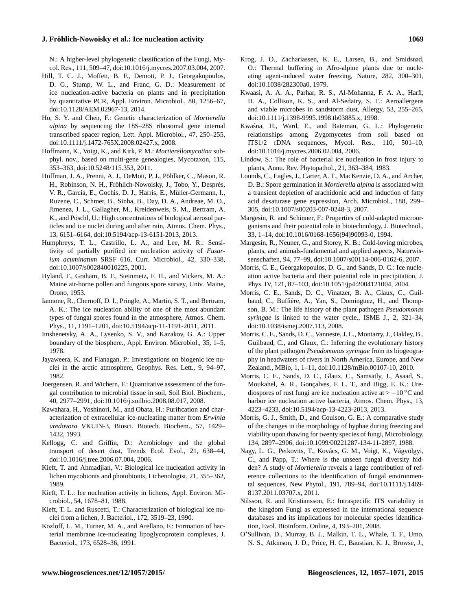N.: A higher-level phylogenetic classification of the Fungi, Mycol. Res., 111, 509–47, doi[:10.1016/j.mycres.2007.03.004,](http://dx.doi.org/10.1016/j.mycres.2007.03.004) 2007.

- Hill, T. C. J., Moffett, B. F., Demott, P. J., Georgakopoulos, D. G., Stump, W. L., and Franc, G. D.: Measurement of ice nucleation-active bacteria on plants and in precipitation by quantitative PCR, Appl. Environ. Microbiol., 80, 1256–67, doi[:10.1128/AEM.02967-13,](http://dx.doi.org/10.1128/AEM.02967-13) 2014.
- Ho, S. Y. and Chen, F.: Genetic characterization of *Mortierella alpina* by sequencing the 18S–28S ribosomal gene internal transcribed spacer region, Lett. Appl. Microbiol., 47, 250–255, doi[:10.1111/j.1472-765X.2008.02427.x,](http://dx.doi.org/10.1111/j.1472-765X.2008.02427.x) 2008.
- Hoffmann, K., Voigt, K., and Kirk, P. M.: *Mortierellomycotina* subphyl. nov., based on multi-gene genealogies, Mycotaxon, 115, 353–363, doi[:10.5248/115.353,](http://dx.doi.org/10.5248/115.353) 2011.
- Huffman, J. A., Prenni, A. J., DeMott, P. J., Pöhlker, C., Mason, R. H., Robinson, N. H., Fröhlich-Nowoisky, J., Tobo, Y., Després, V. R., Garcia, E., Gochis, D. J., Harris, E., Müller-Germann, I., Ruzene, C., Schmer, B., Sinha, B., Day, D. A., Andreae, M. O., Jimenez, J. L., Gallagher, M., Kreidenweis, S. M., Bertram, A. K., and Pöschl, U.: High concentrations of biological aerosol particles and ice nuclei during and after rain, Atmos. Chem. Phys., 13, 6151–6164, doi[:10.5194/acp-13-6151-2013,](http://dx.doi.org/10.5194/acp-13-6151-2013) 2013.
- Humphreys, T. L., Castrillo, L. A., and Lee, M. R.: Sensitivity of partially purified ice nucleation activity of *Fusarium acuminatum* SRSF 616, Curr. Microbiol., 42, 330–338, doi[:10.1007/s002840010225,](http://dx.doi.org/10.1007/s002840010225) 2001.
- Hyland, F., Graham, B. F., Steinmetz, F. H., and Vickers, M. A.: Maine air-borne pollen and fungous spore survey, Univ. Maine, Orono, 1953.
- Iannone, R., Chernoff, D. I., Pringle, A., Martin, S. T., and Bertram, A. K.: The ice nucleation ability of one of the most abundant types of fungal spores found in the atmosphere, Atmos. Chem. Phys., 11, 1191–1201, doi[:10.5194/acp-11-1191-2011,](http://dx.doi.org/10.5194/acp-11-1191-2011) 2011.
- Imshenetsky, A. A., Lysenko, S. V., and Kazakov, G. A.: Upper boundary of the biosphere., Appl. Environ. Microbiol., 35, 1–5, 1978.
- Jayaweera, K. and Flanagan, P.: Investigations on biogenic ice nuclei in the arctic atmosphere, Geophys. Res. Lett., 9, 94–97, 1982.
- Joergensen, R. and Wichern, F.: Quantitative assessment of the fungal contribution to microbial tissue in soil, Soil Biol. Biochem., 40, 2977–2991, doi[:10.1016/j.soilbio.2008.08.017,](http://dx.doi.org/10.1016/j.soilbio.2008.08.017) 2008.
- Kawahara, H., Yoshinori, M., and Obata, H.: Purification and characterization of extracellular ice-nucleating matter from *Erwinia uredovora* VKUIN-3, Biosci. Biotech. Biochem., 57, 1429– 1432, 1993.
- Kellogg, C. and Griffin, D.: Aerobiology and the global transport of desert dust, Trends Ecol. Evol., 21, 638–44, doi[:10.1016/j.tree.2006.07.004,](http://dx.doi.org/10.1016/j.tree.2006.07.004) 2006.
- Kieft, T. and Ahmadjian, V.: Biological ice nucleation activity in lichen mycobionts and photobionts, Lichenologist, 21, 355–362, 1989.
- Kieft, T. L.: Ice nucleation activity in lichens, Appl. Environ. Microbiol., 54, 1678–81, 1988.
- Kieft, T. L. and Ruscetti, T.: Characterization of biological ice nuclei from a lichen, J. Bacteriol., 172, 3519–23, 1990.
- Kozloff, L. M., Turner, M. A., and Arellano, F.: Formation of bacterial membrane ice-nucleating lipoglycoprotein complexes, J. Bacteriol., 173, 6528–36, 1991.
- Krog, J. O., Zachariassen, K. E., Larsen, B., and Smidsrød, O.: Thermal buffering in Afro-alpine plants due to nucleating agent-induced water freezing, Nature, 282, 300–301, doi[:10.1038/282300a0,](http://dx.doi.org/10.1038/282300a0) 1979.
- Kwaasi, A. A. A., Parhar, R. S., Al-Mohanna, F. A. A., Harfi, H. A., Collison, K. S., and Al-Sedairy, S. T.: Aeroallergens and viable microbes in sandstorm dust, Allergy, 53, 255–265, doi[:10.1111/j.1398-9995.1998.tb03885.x,](http://dx.doi.org/10.1111/j.1398-9995.1998.tb03885.x) 1998.
- Kwaśna, H., Ward, E., and Bateman, G. L.: Phylogenetic relationships among Zygomycetes from soil based on ITS1/2 rDNA sequences, Mycol. Res., 110, 501–10, doi[:10.1016/j.mycres.2006.02.004,](http://dx.doi.org/10.1016/j.mycres.2006.02.004) 2006.
- Lindow, S.: The role of bacterial ice nucleation in frost injury to plants, Annu. Rev. Phytopathol., 21, 363–384, 1983.
- Lounds, C., Eagles, J., Carter, A. T., MacKenzie, D. A., and Archer, D. B.: Spore germination in *Mortierella alpina* is associated with a transient depletion of arachidonic acid and induction of fatty acid desaturase gene expression, Arch. Microbiol., 188, 299– 305, doi[:10.1007/s00203-007-0248-3,](http://dx.doi.org/10.1007/s00203-007-0248-3) 2007.
- Margesin, R. and Schinner, F.: Properties of cold-adapted microorganisms and their potential role in biotechnology, J. Biotechnol., 33, 1–14, doi[:10.1016/0168-1656\(94\)90093-0,](http://dx.doi.org/10.1016/0168-1656(94)90093-0) 1994.
- Margesin, R., Neuner, G., and Storey, K. B.: Cold-loving microbes, plants, and animals-fundamental and applied aspects, Naturwissenschaften, 94, 77–99, doi[:10.1007/s00114-006-0162-6,](http://dx.doi.org/10.1007/s00114-006-0162-6) 2007.
- Morris, C. E., Georgakopoulos, D. G., and Sands, D. C.: Ice nucleation active bacteria and their potential role in precipitation, J. Phys. IV, 121, 87–103, doi[:10.1051/jp4:2004121004,](http://dx.doi.org/10.1051/jp4:2004121004) 2004.
- Morris, C. E., Sands, D. C., Vinatzer, B. A., Glaux, C., Guilbaud, C., Buffière, A., Yan, S., Dominguez, H., and Thompson, B. M.: The life history of the plant pathogen *Pseudomonas syringae* is linked to the water cycle., ISME J., 2, 321–34, doi[:10.1038/ismej.2007.113,](http://dx.doi.org/10.1038/ismej.2007.113) 2008.
- Morris, C. E., Sands, D. C., Vanneste, J. L., Montarry, J., Oakley, B., Guilbaud, C., and Glaux, C.: Inferring the evolutionary history of the plant pathogen *Pseudomonas syringae* from its biogeography in headwaters of rivers in North America, Europe, and New Zealand., MBio, 1, 1–11, doi[:10.1128/mBio.00107-10,](http://dx.doi.org/10.1128/mBio.00107-10) 2010.
- Morris, C. E., Sands, D. C., Glaux, C., Samsatly, J., Asaad, S., Moukahel, A. R., Gonçalves, F. L. T., and Bigg, E. K.: Urediospores of rust fungi are ice nucleation active at  $> -10$  °C and harbor ice nucleation active bacteria, Atmos. Chem. Phys., 13, 4223–4233, doi[:10.5194/acp-13-4223-2013,](http://dx.doi.org/10.5194/acp-13-4223-2013) 2013.
- Morris, G. J., Smith, D., and Coulson, G. E.: A comparative study of the changes in the morphology of hyphae during freezing and viability upon thawing for twenty species of fungi, Microbiology, 134, 2897–2906, doi[:10.1099/00221287-134-11-2897,](http://dx.doi.org/10.1099/00221287-134-11-2897) 1988.
- Nagy, L. G., Petkovits, T., Kovács, G. M., Voigt, K., Vágvölgyi, C., and Papp, T.: Where is the unseen fungal diversity hidden? A study of *Mortierella* reveals a large contribution of reference collections to the identification of fungal environmental sequences, New Phytol., 191, 789–94, doi[:10.1111/j.1469-](http://dx.doi.org/10.1111/j.1469-8137.2011.03707.x) [8137.2011.03707.x,](http://dx.doi.org/10.1111/j.1469-8137.2011.03707.x) 2011.
- Nilsson, R. and Kristiansson, E.: Intraspecific ITS variability in the kingdom Fungi as expressed in the international sequence databases and its implications for molecular species identification, Evol. Bioinform. Online, 4, 193–201, 2008.
- O'Sullivan, D., Murray, B. J., Malkin, T. L., Whale, T. F., Umo, N. S., Atkinson, J. D., Price, H. C., Baustian, K. J., Browse, J.,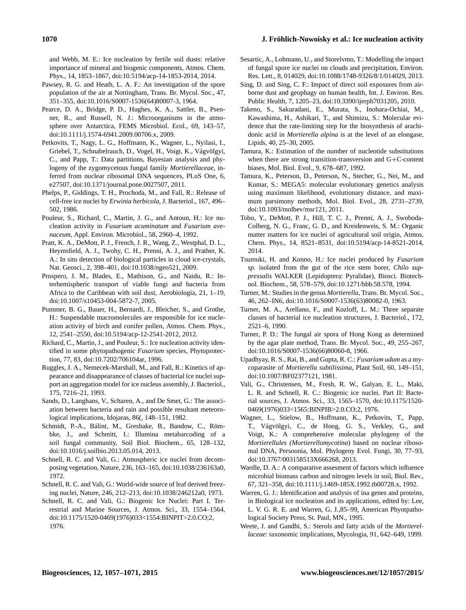and Webb, M. E.: Ice nucleation by fertile soil dusts: relative importance of mineral and biogenic components, Atmos. Chem. Phys., 14, 1853–1867, doi[:10.5194/acp-14-1853-2014,](http://dx.doi.org/10.5194/acp-14-1853-2014) 2014.

- Pawsey, R. G. and Heath, L. A. F.: An investigation of the spore population of the air at Nottingham, Trans. Br. Mycol. Soc., 47, 351–355, doi[:10.1016/S0007-1536\(64\)80007-3,](http://dx.doi.org/10.1016/S0007-1536(64)80007-3) 1964.
- Pearce, D. A., Bridge, P. D., Hughes, K. A., Sattler, B., Psenner, R., and Russell, N. J.: Microorganisms in the atmosphere over Antarctica, FEMS Microbiol. Ecol., 69, 143–57, doi[:10.1111/j.1574-6941.2009.00706.x,](http://dx.doi.org/10.1111/j.1574-6941.2009.00706.x) 2009.
- Petkovits, T., Nagy, L. G., Hoffmann, K., Wagner, L., Nyilasi, I., Griebel, T., Schnabelrauch, D., Vogel, H., Voigt, K., Vágvölgyi, C., and Papp, T.: Data partitions, Bayesian analysis and phylogeny of the zygomycetous fungal family *Mortierellaceae*, inferred from nuclear ribosomal DNA sequences, PLoS One, 6, e27507, doi[:10.1371/journal.pone.0027507,](http://dx.doi.org/10.1371/journal.pone.0027507) 2011.
- Phelps, P., Giddings, T. H., Prochoda, M., and Fall, R.: Release of cell-free ice nuclei by *Erwinia herbicola*, J. Bacteriol., 167, 496– 502, 1986.
- Pouleur, S., Richard, C., Martin, J. G., and Antoun, H.: Ice nucleation activity in *Fusarium acuminatum* and *Fusarium avenaceum*, Appl. Environ. Microbiol., 58, 2960–4, 1992.
- Pratt, K. A., DeMott, P. J., French, J. R., Wang, Z., Westphal, D. L., Heymsfield, A. J., Twohy, C. H., Prenni, A. J., and Prather, K. A.: In situ detection of biological particles in cloud ice-crystals, Nat. Geosci., 2, 398–401, doi[:10.1038/ngeo521,](http://dx.doi.org/10.1038/ngeo521) 2009.
- Prospero, J. M., Blades, E., Mathison, G., and Naidu, R.: Interhemispheric transport of viable fungi and bacteria from Africa to the Caribbean with soil dust, Aerobiologia, 21, 1–19, doi[:10.1007/s10453-004-5872-7,](http://dx.doi.org/10.1007/s10453-004-5872-7) 2005.
- Pummer, B. G., Bauer, H., Bernardi, J., Bleicher, S., and Grothe, H.: Suspendable macromolecules are responsible for ice nucleation activity of birch and conifer pollen, Atmos. Chem. Phys., 12, 2541–2550, doi[:10.5194/acp-12-2541-2012,](http://dx.doi.org/10.5194/acp-12-2541-2012) 2012.
- Richard, C., Martin, J., and Pouleur, S.: Ice nucleation activity identified in some phytopathogenic *Fusarium* species, Phytoprotection, 77, 83, doi[:10.7202/706104ar,](http://dx.doi.org/10.7202/706104ar) 1996.
- Ruggles, J. A., Nemecek-Marshall, M., and Fall, R.: Kinetics of appearance and disappearance of classes of bacterial ice nuclei support an aggregation model for ice nucleus assembly, J. Bacteriol., 175, 7216–21, 1993.
- Sands, D., Langhans, V., Scharen, A., and De Smet, G.: The association between bacteria and rain and possible resultant meteorological implications, Idojaras, 86(, 148–151, 1982.
- Schmidt, P.-A., Bálint, M., Greshake, B., Bandow, C., Römbke, J., and Schmitt, I.: Illumina metabarcoding of a soil fungal community, Soil Biol. Biochem., 65, 128–132, doi[:10.1016/j.soilbio.2013.05.014,](http://dx.doi.org/10.1016/j.soilbio.2013.05.014) 2013.
- Schnell, R. C. and Vali, G.: Atmospheric ice nuclei from decomposing vegetation, Nature, 236, 163–165, doi:10.1038/236163a0, 1972.
- Schnell, R. C. and Vali, G.: World-wide source of leaf derived freezing nuclei, Nature, 246, 212–213, doi[:10.1038/246212a0,](http://dx.doi.org/10.1038/246212a0) 1973.
- Schnell, R. C. and Vali, G.: Biogenic Ice Nuclei: Part I. Terrestrial and Marine Sources, J. Atmos. Sci., 33, 1554–1564, doi[:10.1175/1520-0469\(1976\)033<1554:BINPIT>2.0.CO;2,](http://dx.doi.org/10.1175/1520-0469(1976)033<1554:BINPIT>2.0.CO;2) 1976.
- Sesartic, A., Lohmann, U., and Storelvmo, T.: Modelling the impact of fungal spore ice nuclei on clouds and precipitation, Environ. Res. Lett., 8, 014029, doi[:10.1088/1748-9326/8/1/014029,](http://dx.doi.org/10.1088/1748-9326/8/1/014029) 2013.
- Sing, D. and Sing, C. F.: Impact of direct soil exposures from airborne dust and geophagy on human health, Int. J. Environ. Res. Public Health, 7, 1205–23, doi[:10.3390/ijerph7031205,](http://dx.doi.org/10.3390/ijerph7031205) 2010.
- Takeno, S., Sakuradani, E., Murata, S., Inohara-Ochiai, M., Kawashima, H., Ashikari, T., and Shimizu, S.: Molecular evidence that the rate-limiting step for the biosynthesis of arachidonic acid in *Mortierella alpina* is at the level of an elongase, Lipids, 40, 25–30, 2005.
- Tamura, K.: Estimation of the number of nucleotide substitutions when there are strong transition-transversion and G+C-content biases, Mol. Biol. Evol., 9, 678–687, 1992.
- Tamura, K., Peterson, D., Peterson, N., Stecher, G., Nei, M., and Kumar, S.: MEGA5: molecular evolutionary genetics analysis using maximum likelihood, evolutionary distance, and maximum parsimony methods, Mol. Biol. Evol., 28, 2731–2739, doi[:10.1093/molbev/msr121,](http://dx.doi.org/10.1093/molbev/msr121) 2011.
- Tobo, Y., DeMott, P. J., Hill, T. C. J., Prenni, A. J., Swoboda-Colberg, N. G., Franc, G. D., and Kreidenweis, S. M.: Organic matter matters for ice nuclei of agricultural soil origin, Atmos. Chem. Phys., 14, 8521–8531, doi[:10.5194/acp-14-8521-2014,](http://dx.doi.org/10.5194/acp-14-8521-2014) 2014.
- Tsumuki, H. and Konno, H.: Ice nuclei produced by *Fusarium sp.* isolated from the gut of the rice stem borer, *Chilo suppressalis* WALKER (Lepidoptera: Pyralidae), Biosci. Biotechnol. Biochem., 58, 578–579, doi[:10.1271/bbb.58.578,](http://dx.doi.org/10.1271/bbb.58.578) 1994.
- Turner, M.: Studies in the genus *Mortierella*, Trans. Br. Mycol. Soc., 46, 262–IN6, doi[:10.1016/S0007-1536\(63\)80082-0,](http://dx.doi.org/10.1016/S0007-1536(63)80082-0) 1963.
- Turner, M. A., Arellano, F., and Kozloff, L. M.: Three separate classes of bacterial ice nucleation structures, J. Bacteriol., 172, 2521–6, 1990.
- Turner, P. D.: The fungal air spora of Hong Kong as determined by the agar plate method, Trans. Br. Mycol. Soc., 49, 255–267, doi[:10.1016/S0007-1536\(66\)80060-8,](http://dx.doi.org/10.1016/S0007-1536(66)80060-8) 1966.
- Upadhyay, R. S., Rai, B., and Gupta, R. C.: *Fusarium udum* as a mycoparasite of *Mortierella subtilissima*, Plant Soil, 60, 149–151, doi[:10.1007/BF02377121,](http://dx.doi.org/10.1007/BF02377121) 1981.
- Vali, G., Christensen, M., Fresh, R. W., Galyan, E. L., Maki, L. R. and Schnell, R. C.: Biogenic ice nuclei. Part II: Bacterial sources, J. Atmos. Sci., 33, 1565–1570, doi[:10.1175/1520-](http://dx.doi.org/10.1175/1520-0469(1976)033<1565:BINPIB>2.0.CO;2) [0469\(1976\)033<1565:BINPIB>2.0.CO;2,](http://dx.doi.org/10.1175/1520-0469(1976)033<1565:BINPIB>2.0.CO;2) 1976.
- Wagner, L., Stielow, B., Hoffmann, K., Petkovits, T., Papp, T., Vágvölgyi, C., de Hoog, G. S., Verkley, G., and Voigt, K.: A comprehensive molecular phylogeny of the *Mortierellales (Mortierellomycotina*) based on nuclear ribosomal DNA, Persoonia, Mol. Phylogeny Evol. Fungi, 30, 77–93, doi[:10.3767/003158513X666268,](http://dx.doi.org/10.3767/003158513X666268) 2013.
- Wardle, D. A.: A comparative assesment of factors which influence microbial biomass carbon and nitrogen levels in soil, Biol. Rev., 67, 321–358, doi[:10.1111/j.1469-185X.1992.tb00728.x,](http://dx.doi.org/10.1111/j.1469-185X.1992.tb00728.x) 1992.
- Warren, G. J.: Identification and analysis of ina genes and proteins, in Biological ice nucleation and its applications, edited by: Lee, L. V. G. R. E. and Warren, G. J.,85–99, American Phyotpathological Society Press, St. Paul, MN., 1995.
- Weete, J. and Gandhi, S.: Sterols and fatty acids of the *Mortierellaceae*: taxonomic implications, Mycologia, 91, 642–649, 1999.